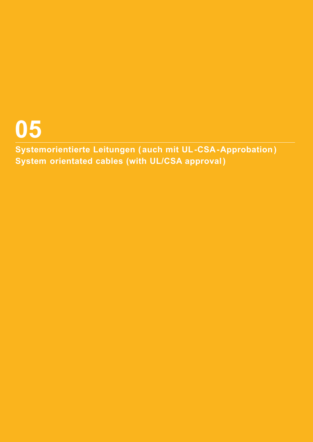**Systemorientierte Leitungen (auch mit UL-CSA-Approbation) System orientated cables (with UL/CSA approval) 05**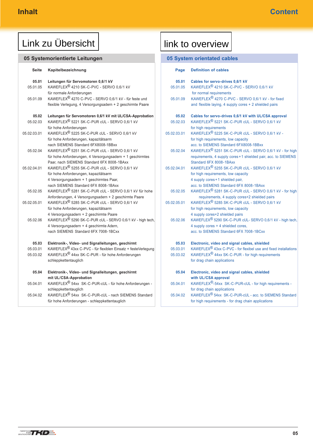# <span id="page-1-0"></span>[Link zu Übersicht](#page-2-0) [link to overview](#page-2-0)

### **05 Systemorientierte Leitungen 05 System orientated cables**

| <b>Seite</b> | Kapitelbezeichnung                                                                                               |
|--------------|------------------------------------------------------------------------------------------------------------------|
| 05.01        | Leitungen für Servomotoren 0,6/1 kV                                                                              |
| 05.01.05     | KAWEFLEX <sup>®</sup> 4210 SK-C-PVC - SERVO 0,6/1 kV                                                             |
| 05.01.09     | für normale Anforderungen<br>KAWEFLEX <sup>®</sup> 4270 C-PVC - SERVO 0,6/1 kV - für feste und                   |
|              | flexible Verlegung, 4 Versorgungsadern + 2 geschirmte Paare                                                      |
| 05.02        | Leitungen für Servomotoren 0,6/1 kV mit UL/CSA-Approbation                                                       |
| 05.02.03     | KAWEFLEX <sup>®</sup> 5221 SK-C-PUR cUL - SERVO 0,6/1 kV<br>für hohe Anforderungen                               |
| 05.02.03.01  | KAWEFLEX <sup>®</sup> 5225 SK-C-PUR cUL - SERVO 0,6/1 kV                                                         |
|              | für hohe Anforderungen, kapazitätsarm                                                                            |
|              | nach SIEMENS Standard 6FX8008-1BBxx                                                                              |
| 05.02.04     | KAWEFLEX <sup>®</sup> 5251 SK-C-PUR cUL - SERVO 0,6/1 kV                                                         |
|              | für hohe Anforderungen, 4 Versorgungsadern + 1 geschirmtes<br>Paar, nach SIEMENS Standard 6FX 8008-1BAxx         |
| 05.02.04.01  | KAWEFLEX <sup>®</sup> 5255 SK-C-PUR cUL - SERVO 0,6/1 kV                                                         |
|              | für hohe Anforderungen, kapazitätsarm                                                                            |
|              | 4 Versorgungsadern + 1 geschirmtes Paar,                                                                         |
|              | nach SIEMENS Standard 6FX 8008-1BAxx                                                                             |
| 05.02.05     | KAWEFLEX <sup>®</sup> 5281 SK-C-PUR cUL - SERVO 0,6/1 kV für hohe                                                |
|              | Anforderungen, 4 Versorgungsadern + 2 geschirmte Paare                                                           |
| 05.02.05.01  | KAWEFLEX <sup>®</sup> 5285 SK-C-PUR cUL - SERVO 0.6/1 kV                                                         |
|              | für hohe Anforderungen, kapazitätsarm                                                                            |
| 05.02.06     | 4 Versorgungsadern + 2 geschirmte Paare<br>KAWEFLEX <sup>®</sup> 5290 SK-C-PUR cUL - SERVO 0,6/1 kV - high tech, |
|              | 4 Versorgungsadern + 4 geschirmte Adern,                                                                         |
|              | nach SIEMENS Standard 6FX 7008-1BCxx                                                                             |
|              |                                                                                                                  |
| 05.03        | Elektronik-, Video- und Signalleitungen, geschirmt                                                               |
| 05.03.01     | KAWEFLEX® 43xx C-PVC - für flexiblen Einsatz + festeVerlegung                                                    |
| 05.03.02     | KAWEFLEX® 44xx SK-C-PUR - für hohe Anforderungen                                                                 |
|              | schleppkettentauglich                                                                                            |
| 05.04        | Elektronik-, Video- und Signalleitungen, geschirmt                                                               |
|              | mit UL/CSA-Approbation                                                                                           |
| 05.04.01     | KAWEFLEX <sup>®</sup> 54xx SK-C-PUR-cUL - für hohe Anforderungen -                                               |
|              | schleppkettentauglich<br>KAWEFLEX <sup>®</sup> 54xx SK-C-PUR-cUL - nach SIEMENS Standard                         |
| 05.04.02     | für hohe Anforderungen - schleppkettentauglich                                                                   |
|              |                                                                                                                  |

|             | 05 System orientated cables                                                                                             |
|-------------|-------------------------------------------------------------------------------------------------------------------------|
| Page        | <b>Definition of cables</b>                                                                                             |
| 05.01       | Cables for servo-drives 0,6/1 kV                                                                                        |
| 05.01.05    | KAWEFLEX <sup>®</sup> 4210 SK-C-PVC - SERVO 0,6/1 kV                                                                    |
|             | for normal requirements                                                                                                 |
| 05.01.09    | KAWEFLEX <sup>®</sup> 4270 C-PVC - SERVO 0,6/1 kV - for fixed<br>and flexible laying, 4 supply cores + 2 shielded pairs |
| 05.02       | Cables for servo-drives 0,6/1 kV with UL/CSA approval                                                                   |
| 05.02.03    | KAWEFLEX <sup>®</sup> 5221 SK-C-PUR cUL - SERVO 0.6/1 kV<br>for high requirements                                       |
| 05.02.03.01 | KAWEFLEX <sup>®</sup> 5225 SK-C-PUR cUL - SERVO 0,6/1 kV -                                                              |
|             | for high requirements, low capacity                                                                                     |
|             | acc. to SIEMENS Standard 6FX8008-1BBxx                                                                                  |
| 05.02.04    | KAWEFLEX <sup>®</sup> 5251 SK-C-PUR cUL - SERVO 0,6/1 kV - for high                                                     |
|             | requirements, 4 supply cores+1 shielded pair, acc. to SIEMENS<br>Standard 6FX 8008-1BAxx                                |
| 05.02.04.01 | KAWEFLEX <sup>®</sup> 5255 SK-C-PUR cUL - SERVO 0,6/1 kV                                                                |
|             | for high requirements, low capacity                                                                                     |
|             | 4 supply cores +1 shielded pair,                                                                                        |
|             | acc. to SIEMENS Standard 6FX 8008-1BAxx                                                                                 |
| 05.02.05    | KAWEFLEX <sup>®</sup> 5281 SK-C-PUR cUL - SERVO 0,6/1 kV - for high<br>requirements, 4 supply cores+2 shielded pairs    |
| 05.02.05.01 | KAWEFLEX <sup>®</sup> 5285 SK-C-PUR cUL - SERVO 0,6/1 kV                                                                |
|             | for high requirements, low capacity                                                                                     |
| 05.02.06    | 4 supply cores+2 shielded pairs<br>KAWEFLEX <sup>®</sup> 5290 SK-C-PUR cUL- SERVO 0,6/1 kV - high tech,                 |
|             | 4 supply cores + 4 shielded cores,                                                                                      |
|             | acc. to SIEMENS Standard 6FX 7008-1BCxx                                                                                 |
| 05.03       | Electronic, video and signal cables, shielded                                                                           |
| 05.03.01    | KAWEFLEX® 43xx C-PVC - for flexibel use and fixed installations                                                         |
| 05.03.02    | KAWEFLEX <sup>®</sup> 44xx SK-C-PUR - for high requirements<br>for drag chain applications                              |
|             |                                                                                                                         |
| 05.04       | Electronic, video and signal cables, shielded                                                                           |
|             | with UL/CSA approval                                                                                                    |
| 05.04.01    | KAWEFLEX <sup>®</sup> -54xx SK-C-PUR-cUL - for high requirements -                                                      |
| 05.04.02    | for drag chain applications<br>KAWEFLEX <sup>®</sup> 54xx SK-C-PUR-cUL - acc. to SIEMENS Standard                       |
|             | for high requirements - for drag chain applications                                                                     |

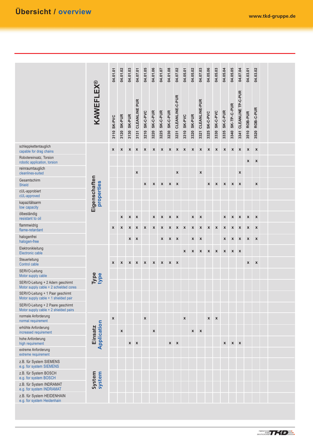<span id="page-2-0"></span>

|                                                                             |                        | 04.01.01           | 04.01.02           | 04.01.03           | 04.07.01                  | 04.01.05           | 04.01.06                  | 04.01.07           | 04.01.08           | 04.07.02                  | 04.05.01           | 04.05.02           | 04.07.03           | 04.05.06           | 04.05.03                  | 04.05.04           | 04.05.05           | 04.07.04                   | 04.03.01           | 04.03.02           |  |  |
|-----------------------------------------------------------------------------|------------------------|--------------------|--------------------|--------------------|---------------------------|--------------------|---------------------------|--------------------|--------------------|---------------------------|--------------------|--------------------|--------------------|--------------------|---------------------------|--------------------|--------------------|----------------------------|--------------------|--------------------|--|--|
|                                                                             | <b>KAWEFLEX®</b>       | 3110 SK-PVC        | SK-PUR<br>3120     | SK-PUR<br>3130     | 3131 CLEANLINE PUR        | 3210 SK-C-PVC      | SK-C-PUR<br>3220          | SK-C-PUR<br>3225   | 3230 SK-C-PUR      | CLEANLINE-C-PUR<br>3231   | SK-PVC<br>3310     | 3320 SK-PUR        | 3321 CLEANLINE-PUR | 3325 SK-C-PVC      | 3330 SK-C-PVC             | 3335 SK-C-PUR      | 3340 SK-TP-C-PUR   | CLEANLINE TP-C-PUR<br>3341 | ROB-PUR<br>3510    | ROB-C-PUR<br>3520  |  |  |
|                                                                             |                        |                    |                    |                    |                           |                    |                           |                    |                    |                           |                    |                    |                    |                    |                           |                    |                    |                            |                    |                    |  |  |
| schleppkettentauglich<br>capable for drag chains                            |                        | X                  | $\pmb{\mathsf{x}}$ | $\pmb{\mathsf{x}}$ | $\boldsymbol{\mathsf{x}}$ | $\pmb{\times}$     | $\pmb{\mathsf{x}}$        | $\pmb{\mathsf{x}}$ | $\pmb{\mathsf{x}}$ | $\pmb{\mathsf{x}}$        | $\pmb{\mathsf{x}}$ | $\pmb{\mathsf{x}}$ | $\pmb{\mathsf{x}}$ | $\pmb{\mathsf{x}}$ | $\pmb{\mathsf{x}}$        | $\pmb{\mathsf{x}}$ | $\pmb{\mathsf{x}}$ | $\pmb{\chi}$               | $\pmb{\mathsf{x}}$ | $\pmb{\mathsf{x}}$ |  |  |
| Robotereinsatz, Torsion<br>robotic application, torsion                     |                        |                    |                    |                    |                           |                    |                           |                    |                    |                           |                    |                    |                    |                    |                           |                    |                    |                            | X                  | $\pmb{\mathsf{x}}$ |  |  |
| reinraumtauglich<br>cleanlines-suited                                       |                        |                    |                    |                    | $\pmb{\mathsf{x}}$        |                    |                           |                    |                    | X                         |                    |                    | $\pmb{\mathsf{x}}$ |                    |                           |                    |                    | $\boldsymbol{\mathsf{x}}$  |                    |                    |  |  |
| Gesamtschirm<br><b>Shield</b>                                               |                        |                    |                    |                    |                           | $\pmb{\mathsf{x}}$ | $\pmb{\mathsf{x}}$        | $\pmb{\mathsf{x}}$ | $\pmb{\mathsf{x}}$ | $\pmb{\mathsf{x}}$        |                    |                    |                    | $\pmb{\mathsf{x}}$ | $\pmb{\mathsf{x}}$        | $\pmb{\mathsf{x}}$ | $\pmb{\mathsf{x}}$ | $\boldsymbol{\mathsf{x}}$  |                    | $\pmb{\mathsf{x}}$ |  |  |
| cUL-approbiert<br>cUL-approved                                              | properties             |                    |                    |                    |                           |                    |                           |                    |                    |                           |                    |                    |                    |                    |                           |                    |                    |                            |                    |                    |  |  |
| kapazitätsarm<br>low capacity                                               | Eigenschaften          |                    |                    |                    |                           |                    |                           |                    |                    |                           |                    |                    |                    |                    |                           |                    |                    |                            |                    |                    |  |  |
| ölbeständig<br>resistant to oil                                             |                        |                    | $\pmb{\mathsf{x}}$ | X                  | $\boldsymbol{\mathsf{x}}$ |                    | $\boldsymbol{\mathsf{x}}$ | $\pmb{\mathsf{x}}$ | $\pmb{\mathsf{x}}$ | $\pmb{\mathsf{x}}$        |                    | $\pmb{\mathsf{x}}$ | $\pmb{\mathsf{x}}$ |                    |                           | $\pmb{\mathsf{x}}$ | $\pmb{\mathsf{x}}$ | $\pmb{\mathsf{x}}$         | X                  | $\pmb{\mathsf{x}}$ |  |  |
| flammwidrig<br>flame-retardant                                              |                        | $\pmb{\mathsf{x}}$ | X                  | X                  | $\pmb{\mathsf{x}}$        | $\pmb{\mathsf{x}}$ | $\pmb{\mathsf{x}}$        | $\pmb{\mathsf{x}}$ | $\pmb{\mathsf{x}}$ | $\pmb{\mathsf{x}}$        | $\pmb{\mathsf{x}}$ | $\pmb{\mathsf{x}}$ | $\pmb{\mathsf{x}}$ | $\pmb{\mathsf{x}}$ | $\pmb{\mathsf{x}}$        | $\pmb{\mathsf{x}}$ | $\pmb{\mathsf{x}}$ | $\pmb{\mathsf{x}}$         | X                  | $\pmb{\mathsf{x}}$ |  |  |
| halogenfrei<br>halogen-free                                                 |                        |                    |                    | X                  | $\pmb{\mathsf{x}}$        |                    |                           | X                  | $\pmb{\mathsf{x}}$ | $\pmb{\mathsf{x}}$        |                    | $\pmb{\mathsf{x}}$ | $\pmb{\mathsf{x}}$ |                    |                           | $\pmb{\mathsf{x}}$ | $\pmb{\mathsf{x}}$ | $\pmb{\mathsf{x}}$         | X                  | $\pmb{\mathsf{x}}$ |  |  |
| Elektronikleitung<br>Electronic cable                                       |                        |                    |                    |                    |                           |                    |                           |                    |                    |                           | $\pmb{\mathsf{x}}$ | $\pmb{\mathsf{x}}$ | $\pmb{\mathsf{x}}$ | $\pmb{\mathsf{x}}$ | $\pmb{\mathsf{x}}$        | $\pmb{\mathsf{x}}$ | $\pmb{\mathsf{x}}$ | $\boldsymbol{\mathsf{x}}$  |                    |                    |  |  |
| Steuerleitung<br>Control cable                                              |                        | $\pmb{\mathsf{x}}$ | $\pmb{\mathsf{x}}$ | $\pmb{\mathsf{x}}$ | $\boldsymbol{\mathsf{x}}$ | $\pmb{\mathsf{x}}$ | $\pmb{\mathsf{x}}$        | $\pmb{\mathsf{x}}$ | $\pmb{\mathsf{x}}$ | $\boldsymbol{\mathsf{x}}$ |                    |                    |                    |                    |                           |                    |                    |                            | $\pmb{\mathsf{x}}$ | $\pmb{\mathsf{x}}$ |  |  |
| SERVO-Leitung<br>Motor supply cable                                         | Type<br>type           |                    |                    |                    |                           |                    |                           |                    |                    |                           |                    |                    |                    |                    |                           |                    |                    |                            |                    |                    |  |  |
| SERVO-Leitung + 2 Adern geschirmt<br>Motor supply cable + 2 schielded cores |                        |                    |                    |                    |                           |                    |                           |                    |                    |                           |                    |                    |                    |                    |                           |                    |                    |                            |                    |                    |  |  |
| SERVO-Leitung + 1 Paar geschirmt<br>Motor supply cable + 1 shielded pair    |                        |                    |                    |                    |                           |                    |                           |                    |                    |                           |                    |                    |                    |                    |                           |                    |                    |                            |                    |                    |  |  |
| SERVO-Leitung + 2 Paare geschirmt<br>Motor supply cable + 2 shielded pairs  |                        |                    |                    |                    |                           |                    |                           |                    |                    |                           |                    |                    |                    |                    |                           |                    |                    |                            |                    |                    |  |  |
| normale Anforderung<br>normal requirement                                   |                        | $\pmb{\mathsf{x}}$ |                    |                    |                           | $\pmb{\mathsf{x}}$ |                           |                    |                    |                           | $\pmb{\mathsf{x}}$ |                    |                    | $\pmb{\mathsf{x}}$ | $\boldsymbol{\mathsf{x}}$ |                    |                    |                            |                    |                    |  |  |
| erhöhte Anforderung<br>increased requirement                                |                        |                    | $\pmb{\mathsf{x}}$ |                    |                           |                    | $\pmb{\mathsf{x}}$        |                    |                    |                           |                    | $\pmb{\mathsf{x}}$ | $\pmb{\mathsf{x}}$ |                    |                           |                    |                    |                            |                    |                    |  |  |
| hohe Anforderung<br>high requirement                                        | Einsatz<br>Application |                    |                    | $\mathbf{x}$       | $\boldsymbol{\mathsf{x}}$ |                    |                           |                    | X                  | $\boldsymbol{\mathsf{x}}$ |                    |                    |                    |                    |                           | $\pmb{\mathsf{x}}$ | $\pmb{\mathsf{x}}$ | $\mathbf{x}$               |                    |                    |  |  |
| extreme Anforderung<br>extreme requirement                                  |                        |                    |                    |                    |                           |                    |                           |                    |                    |                           |                    |                    |                    |                    |                           |                    |                    |                            |                    |                    |  |  |
| z.B. für System SIEMENS<br>e.g. for system SIEMENS                          |                        |                    |                    |                    |                           |                    |                           |                    |                    |                           |                    |                    |                    |                    |                           |                    |                    |                            |                    |                    |  |  |
| z.B. für System BOSCH<br>e.g. for system BOSCH                              |                        |                    |                    |                    |                           |                    |                           |                    |                    |                           |                    |                    |                    |                    |                           |                    |                    |                            |                    |                    |  |  |
| z.B. für System INDRAMAT<br>e.g. for system INDRAMAT                        | System                 |                    |                    |                    |                           |                    |                           |                    |                    |                           |                    |                    |                    |                    |                           |                    |                    |                            |                    |                    |  |  |
| z.B. für System HEIDENHAIN<br>e.g. for system Heidenhain                    |                        |                    |                    |                    |                           |                    |                           |                    |                    |                           |                    |                    |                    |                    |                           |                    |                    |                            |                    |                    |  |  |

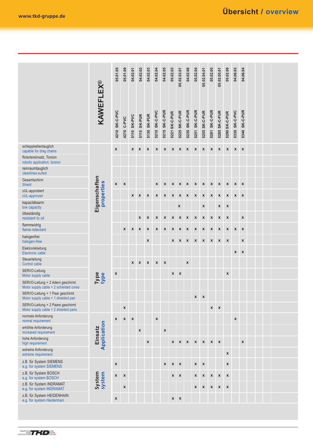TWENTSCHE **AN DE SEARCH (DE SEARCH AN DE SEARCH AN DE SEARCH AN DE SEARCH AN DE SEARCH AN DE SEARCH AN DE SEARCH AN** 

|                                                                             |                             | 05.01.05           | 05.01.09           | 04.02.01                  | 04.02.02                  | 04.02.03           | 04.02.04           | 04.02.05                  | 05.02.03           | 05.02.03.01        | 04.02.06                  | 05.02.04           | 05.02.04.01               | 05.02.05           | 05.02.05.01               | 05.02.06           | 04.06.03           | 04.06.04                  |  |  |  |
|-----------------------------------------------------------------------------|-----------------------------|--------------------|--------------------|---------------------------|---------------------------|--------------------|--------------------|---------------------------|--------------------|--------------------|---------------------------|--------------------|---------------------------|--------------------|---------------------------|--------------------|--------------------|---------------------------|--|--|--|
|                                                                             | <b>KAWEFLEX®</b>            | 4210 SK-C-PVC      | 4270 C-PVC         | 5110 SK-PVC               | 5115 SK-PUR               | 5130 SK-PUR        | 5210 SK-C-PVC      | 5215 SK-C-PUR             | 5221 SK-C-PUR      | 5225 SK-C-PUR      | 5230 SK-C-PUR             | 5251 SK-C-PUR      | 5255 SK-C-PUR             | 5281 SK-C-PUR      | 5285 SK-C-PUR             | 5290 SK-C-PUR      | 5330 SK-C-PVC      | SK-C-PUR<br>5340          |  |  |  |
| schleppkettentauglich                                                       |                             | $\pmb{\mathsf{x}}$ |                    | $\pmb{\mathsf{x}}$        | $\boldsymbol{\mathsf{x}}$ | $\pmb{\mathsf{x}}$ | $\pmb{\mathsf{x}}$ | $\pmb{\mathsf{x}}$        | $\pmb{\mathsf{x}}$ | $\pmb{\mathsf{x}}$ | $\pmb{\mathsf{x}}$        | $\pmb{\mathsf{x}}$ | $\pmb{\mathsf{x}}$        | $\pmb{\mathsf{x}}$ | $\pmb{\mathsf{x}}$        | $\pmb{\mathsf{x}}$ | $\mathbf x$        | $\mathbf{x}$              |  |  |  |
| capable for drag chains<br>Robotereinsatz, Torsion                          |                             |                    |                    |                           |                           |                    |                    |                           |                    |                    |                           |                    |                           |                    |                           |                    |                    |                           |  |  |  |
| robotic application, torsion<br>reinraumtauglich<br>cleanlines-suited       |                             |                    |                    |                           |                           |                    |                    |                           |                    |                    |                           |                    |                           |                    |                           |                    |                    |                           |  |  |  |
| Gesamtschirm                                                                |                             | $\pmb{\mathsf{x}}$ | $\pmb{\mathsf{x}}$ |                           |                           |                    | $\pmb{\chi}$       | X                         | x                  | $\pmb{\mathsf{x}}$ | $\pmb{\mathsf{x}}$        | $\pmb{\mathsf{x}}$ | $\pmb{\mathsf{x}}$        | $\pmb{\mathsf{x}}$ | $\pmb{\mathsf{x}}$        | X                  | $\pmb{\mathsf{x}}$ | $\boldsymbol{\mathsf{x}}$ |  |  |  |
| <b>Shield</b><br>cUL-approbiert                                             |                             |                    |                    | X                         | $\boldsymbol{\mathsf{x}}$ | $\pmb{\mathsf{x}}$ | $\pmb{\mathsf{x}}$ | X                         | $\pmb{\mathsf{x}}$ | $\pmb{\mathsf{x}}$ | $\pmb{\mathsf{x}}$        | $\pmb{\mathsf{x}}$ | $\boldsymbol{\mathsf{x}}$ | $\pmb{\mathsf{x}}$ | $\pmb{\mathsf{x}}$        | $\pmb{\mathsf{x}}$ | $\pmb{\mathsf{x}}$ | $\boldsymbol{\mathsf{x}}$ |  |  |  |
| cUL-approved<br>kapazitätsarm                                               | Eigenschaften<br>properties |                    |                    |                           |                           |                    |                    |                           |                    | $\pmb{\mathsf{x}}$ |                           |                    | $\pmb{\mathsf{x}}$        |                    | $\pmb{\mathsf{x}}$        | $\pmb{\mathsf{x}}$ |                    |                           |  |  |  |
| low capacity<br>ölbeständig<br>resistant to oil                             |                             |                    |                    |                           | $\pmb{\mathsf{x}}$        | $\pmb{\mathsf{x}}$ | $\pmb{\mathsf{x}}$ | X                         | $\pmb{\mathsf{x}}$ | $\pmb{\mathsf{x}}$ | $\boldsymbol{\mathsf{x}}$ | $\pmb{\mathsf{x}}$ | X                         | $\pmb{\mathsf{x}}$ | $\pmb{\mathsf{x}}$        | $\pmb{\mathsf{x}}$ |                    | $\pmb{\mathsf{x}}$        |  |  |  |
| flammwidrig<br>flame-retardant                                              |                             |                    | $\pmb{\mathsf{x}}$ | $\pmb{\mathsf{x}}$        | $\pmb{\mathsf{x}}$        | $\pmb{\mathsf{x}}$ | X                  | $\pmb{\mathsf{x}}$        | $\pmb{\mathsf{x}}$ | $\pmb{\mathsf{x}}$ | $\pmb{\mathsf{x}}$        | $\pmb{\mathsf{x}}$ | $\pmb{\mathsf{x}}$        | $\pmb{\mathsf{x}}$ | $\pmb{\mathsf{x}}$        | $\pmb{\mathsf{x}}$ | $\pmb{\mathsf{x}}$ | $\pmb{\mathsf{x}}$        |  |  |  |
| halogenfrei<br>halogen-free                                                 |                             |                    |                    |                           |                           | $\pmb{\mathsf{x}}$ |                    |                           | $\mathbf x$        | $\pmb{\mathsf{x}}$ | $\pmb{\mathsf{x}}$        | $\pmb{\mathsf{x}}$ | $\pmb{\mathsf{x}}$        | $\pmb{\mathsf{x}}$ | $\pmb{\mathsf{x}}$        | $\pmb{\mathsf{x}}$ |                    | $\pmb{\mathsf{x}}$        |  |  |  |
| Elektronikleitung<br>Electronic cable                                       |                             |                    |                    |                           |                           |                    |                    |                           |                    |                    |                           |                    |                           |                    |                           |                    | $\pmb{\mathsf{x}}$ | $\pmb{\chi}$              |  |  |  |
| Steuerleitung<br>Control cable                                              |                             |                    |                    | $\pmb{\mathsf{x}}$        | $\boldsymbol{\mathsf{x}}$ | $\pmb{\mathsf{x}}$ | $\pmb{\mathsf{x}}$ | $\boldsymbol{\mathsf{x}}$ |                    |                    | $\pmb{\mathsf{x}}$        |                    |                           |                    |                           |                    |                    |                           |  |  |  |
| SERVO-Leitung<br>Motor supply cable                                         |                             | $\pmb{\mathsf{x}}$ |                    |                           |                           |                    |                    |                           | $\mathbf x$        | $\pmb{\mathsf{x}}$ |                           |                    |                           |                    |                           | $\pmb{\chi}$       |                    |                           |  |  |  |
| SERVO-Leitung + 2 Adern geschirmt<br>Motor supply cable + 2 schielded cores | Type<br>type                |                    |                    |                           |                           |                    |                    |                           |                    |                    |                           |                    |                           |                    |                           |                    |                    |                           |  |  |  |
| SERVO-Leitung + 1 Paar geschirmt<br>Motor supply cable + 1 shielded pair    |                             |                    |                    |                           |                           |                    |                    |                           |                    |                    |                           | X                  | $\pmb{\mathsf{x}}$        |                    |                           |                    |                    |                           |  |  |  |
| SERVO-Leitung + 2 Paare geschirmt<br>Motor supply cable + 2 shielded pairs  |                             |                    | $\pmb{\mathsf{x}}$ |                           |                           |                    |                    |                           |                    |                    |                           |                    |                           | $\pmb{\mathsf{x}}$ | $\pmb{\mathsf{x}}$        |                    |                    |                           |  |  |  |
| normale Anforderung<br>normal requirement                                   |                             | $\pmb{\mathsf{x}}$ | $\pmb{\mathsf{x}}$ | $\boldsymbol{\mathsf{x}}$ |                           |                    | $\pmb{\mathsf{x}}$ |                           |                    |                    |                           |                    |                           |                    |                           |                    | $\pmb{\chi}$       |                           |  |  |  |
| erhöhte Anforderung<br>increased requirement                                |                             |                    |                    |                           | $\pmb{\mathsf{x}}$        |                    |                    | $\pmb{\mathsf{x}}$        |                    |                    |                           |                    |                           |                    |                           |                    |                    |                           |  |  |  |
| hohe Anforderung<br>high requirement                                        | Application<br>Einsatz      |                    |                    |                           |                           | $\pmb{\mathsf{x}}$ |                    |                           | $\pmb{\mathsf{x}}$ | $\pmb{\mathsf{X}}$ | $\boldsymbol{\mathsf{x}}$ | $\pmb{\mathsf{x}}$ | $\pmb{\mathsf{X}}$        | $\pmb{\mathsf{x}}$ | $\boldsymbol{\mathsf{x}}$ |                    |                    | $\pmb{\mathsf{x}}$        |  |  |  |
| extreme Anforderung<br>extreme requirement                                  |                             |                    |                    |                           |                           |                    |                    |                           |                    |                    |                           |                    |                           |                    |                           | $\pmb{\mathsf{x}}$ |                    |                           |  |  |  |
| z.B. für System SIEMENS<br>e.g. for system SIEMENS                          |                             | $\pmb{\mathsf{x}}$ |                    |                           |                           |                    |                    | X                         | $\pmb{\mathsf{x}}$ | $\pmb{\mathsf{x}}$ |                           | X                  | $\pmb{\mathsf{x}}$        |                    |                           | $\pmb{\mathsf{x}}$ |                    |                           |  |  |  |
| z.B. für System BOSCH<br>e.g. for system BOSCH                              |                             | $\pmb{\mathsf{x}}$ | $\pmb{\mathsf{x}}$ |                           |                           |                    |                    |                           | $\pmb{\mathsf{x}}$ | $\pmb{\mathsf{x}}$ |                           | X                  | $\pmb{\mathsf{x}}$        | $\pmb{\mathsf{x}}$ | $\pmb{\mathsf{x}}$        | $\pmb{\mathsf{x}}$ |                    |                           |  |  |  |
| z.B. für System INDRAMAT<br>e.g. for system INDRAMAT                        | System<br>system            |                    | $\pmb{\mathsf{x}}$ |                           |                           |                    |                    |                           |                    |                    |                           | X                  | $\pmb{\mathsf{x}}$        | $\pmb{\mathsf{x}}$ | $\pmb{\mathsf{x}}$        | $\pmb{\mathsf{x}}$ |                    |                           |  |  |  |
| z.B. für System HEIDENHAIN<br>e.g. for system Heidenhain                    |                             | $\pmb{\mathsf{x}}$ |                    |                           |                           |                    |                    |                           | $\pmb{\mathsf{x}}$ | $\pmb{\mathsf{x}}$ |                           |                    |                           |                    |                           |                    |                    |                           |  |  |  |
|                                                                             |                             |                    |                    |                           |                           |                    |                    |                           |                    |                    |                           |                    |                           |                    |                           |                    |                    |                           |  |  |  |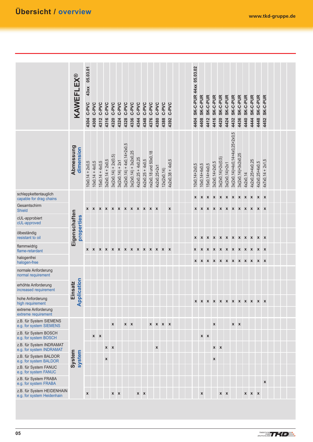| www.tkd-gruppe.de |  |
|-------------------|--|
|                   |  |

|                                                          | <b>KAWEFLEX®</b>            | 43xx 05.03.01<br><b>C-PVC</b><br>4304 | C-PVC<br>4308       | C-PVC<br>4312       | C-PVC<br>4316        | C-PVC<br>4320            | C-PVC<br>4324      | C-PVC<br>4328                  | C-PVC<br>4336             | C-PVC<br>4344       | C-PVC<br>4348      | C-PVC<br>4376        | C-PVC<br>4380      | C-PVC<br>4388             | C-PVC<br>4392             | SK-C-PUR 44xx 05.03.02<br>4404 | SK-C-PUR<br>4408   | SK-C-PUR<br>4412          | SK-C-PUR<br>4416          | SK-C-PUR<br>4420          | SK-C-PUR<br>4424          | SK-C-PUR<br>4432                     | SK-C-PUR<br>4436          | SK-C-PUR<br>4440 | SK-C-PUR<br>4444 | SK-C-PUR<br>4448 | SK-C-PUR<br>4452     |  |
|----------------------------------------------------------|-----------------------------|---------------------------------------|---------------------|---------------------|----------------------|--------------------------|--------------------|--------------------------------|---------------------------|---------------------|--------------------|----------------------|--------------------|---------------------------|---------------------------|--------------------------------|--------------------|---------------------------|---------------------------|---------------------------|---------------------------|--------------------------------------|---------------------------|------------------|------------------|------------------|----------------------|--|
|                                                          | Abmessung<br>dimension      | $10x0, 14 + 2x0, 5$                   | $10x0, 14 + 4x0, 5$ | $15x0, 14 + 4x0, 5$ | $3x2x0, 14 + 2x0, 5$ | $3x(2x0, 14) + 2x(0, 5)$ | $3x(2x0,14) + 2x1$ | $3x(2x0, 14) + 4x0, 14+2x0, 5$ | $3x(2x0, 14) + 3x2x0, 25$ | $4x2x0,25 + 4x0,25$ | $4x2x0,25 + 4x0,5$ | nx2x0,18 und 50x0,18 | $4x2x0,25+2x1$     | 12x(2x0, 14)              | $4x2x0,38 + 4x0,5$        | 10x0, 14+2x0, 5                | $10x0, 14+4x0, 5$  | $15x0, 14+4x0, 5$         | 3x2x0, 14+2x0, 5          | $3x(2x0, 14)+2x(0, 5)$    | $3x(2x0, 14)+2x1$         | $3x(2x0, 14)+4x0, 14+4x0, 25+2x0, 5$ | $3x(2x0, 14) + 3x2x0, 25$ | 4x2x0,14         | 4x2x0,25+4x0,25  | 4x2x0,25+4x0,5   | $4x7x0, 14 + 2x1, 5$ |  |
| schleppkettentauglich<br>capable for drag chains         |                             |                                       |                     |                     |                      |                          |                    |                                |                           |                     |                    |                      |                    |                           |                           | $\mathbf{x}$                   | $\mathbf{x}$       | $\mathbf{x}$              | $\mathbf{x}$              |                           | X X X                     |                                      |                           | X X X            |                  | $X$ $X$          |                      |  |
| Gesamtschirm<br><b>Shield</b>                            |                             | $\mathbf{x}$                          | $\mathbf{x}$        | $\mathbf{x}$        | $\mathbf{x}$         | $\mathbf{x}$             | $\mathbf{x}$       | $\mathbf{x}$                   | $\mathbf{x}$              | $\mathbf{x}$        | $\mathbf{x}$       | $X$ $X$              |                    |                           | $\pmb{\chi}$              | $\mathbf{x}$                   | $\mathbf{x}$       | $\boldsymbol{\mathsf{x}}$ | $\mathbf{x}$              |                           | $X$ $X$                   | $\mathbf{x}$                         |                           | X X X            |                  | $X$ $X$          |                      |  |
| cUL-approbiert<br>cUL-approved                           |                             |                                       |                     |                     |                      |                          |                    |                                |                           |                     |                    |                      |                    |                           |                           |                                |                    |                           |                           |                           |                           |                                      |                           |                  |                  |                  |                      |  |
| ölbeständig<br>resistant to oil                          | Eigenschaften<br>properties |                                       |                     |                     |                      |                          |                    |                                |                           |                     |                    |                      |                    |                           |                           | X                              | $\mathbf{x}$       | $\mathbf{x}$              | $\mathbf{x}$              |                           | X X X                     |                                      |                           | X X X            |                  | $X$ $X$          |                      |  |
| flammwidrig<br>flame-retardant                           |                             | $\mathbf{x}$                          | $\mathbf{x}$        |                     | <b>X</b> X           | $\mathbf{x}$             | $\mathbf{x}$       | $X$ $X$                        |                           | $\mathbf{x}$        | $\mathbf{x}$       |                      | <b>XX</b>          | $\boldsymbol{\mathsf{x}}$ | $\boldsymbol{\mathsf{x}}$ | X                              | $\mathbf{x}$       | $\mathbf{x}$              | $\mathbf{x}$              |                           | $X$ $X$                   | $\mathbf{x}$                         |                           | X X X            |                  | $X$ $X$          |                      |  |
| halogenfrei<br>halogen-free                              |                             |                                       |                     |                     |                      |                          |                    |                                |                           |                     |                    |                      |                    |                           |                           | X                              |                    | X X X                     |                           |                           | X X X                     |                                      |                           | X X X            |                  | $X$ $X$          |                      |  |
| normale Anforderung<br>normal requirement                |                             |                                       |                     |                     |                      |                          |                    |                                |                           |                     |                    |                      |                    |                           |                           |                                |                    |                           |                           |                           |                           |                                      |                           |                  |                  |                  |                      |  |
| erhöhte Anforderung<br>increased requirement             | Application<br>satz         |                                       |                     |                     |                      |                          |                    |                                |                           |                     |                    |                      |                    |                           |                           |                                |                    |                           |                           |                           |                           |                                      |                           |                  |                  |                  |                      |  |
| hohe Anforderung<br>high requirement                     | Ein                         |                                       |                     |                     |                      |                          |                    |                                |                           |                     |                    |                      |                    |                           |                           | $\mathbf{x}$                   |                    | X X X                     |                           |                           | X X X X X X               |                                      |                           |                  |                  | $X$ $X$          |                      |  |
| extreme Anforderung<br>extreme requirement               |                             |                                       |                     |                     |                      |                          |                    |                                |                           |                     |                    |                      |                    |                           |                           |                                |                    |                           |                           |                           |                           |                                      |                           |                  |                  |                  |                      |  |
| z.B. für System SIEMENS<br>e.g. for system SIEMENS       |                             |                                       |                     |                     |                      | $\pmb{\mathsf{x}}$       |                    | $X$ $X$                        |                           |                     |                    |                      | $X$ $X$            | $\pmb{\mathsf{x}}$        | $\boldsymbol{\mathsf{x}}$ |                                |                    |                           | $\boldsymbol{\mathsf{x}}$ |                           |                           | $X$ $X$                              |                           |                  |                  |                  |                      |  |
| z.B. für System BOSCH<br>e.g. for system BOSCH           |                             |                                       |                     | $X$ $X$             |                      |                          |                    |                                |                           |                     |                    |                      |                    |                           |                           |                                | $X$ $X$            |                           |                           |                           |                           |                                      |                           |                  |                  |                  |                      |  |
| z.B. für System INDRAMAT<br>e.g. for system INDRAMAT     |                             |                                       |                     |                     | x                    | $\mathbf{x}$             |                    |                                |                           |                     |                    |                      | $\pmb{\mathsf{x}}$ |                           |                           |                                |                    |                           | $\pmb{\mathsf{x}}$        | $\boldsymbol{\mathsf{x}}$ |                           |                                      |                           |                  |                  |                  |                      |  |
| z.B. für System BALDOR<br>e.g. for system BALDOR         | System<br>system            |                                       |                     |                     | $\pmb{\mathsf{x}}$   |                          |                    |                                |                           |                     |                    |                      |                    |                           |                           |                                |                    |                           | X                         |                           |                           |                                      |                           |                  |                  |                  |                      |  |
| z.B. für System FANUC<br>e.g. for system FANUC           |                             |                                       |                     |                     |                      |                          |                    |                                |                           |                     |                    |                      |                    |                           |                           |                                |                    |                           |                           |                           |                           |                                      |                           |                  |                  |                  |                      |  |
| z.B. für System FRABA<br>e.g. for system FRABA           |                             |                                       |                     |                     |                      |                          |                    |                                |                           |                     |                    |                      |                    |                           |                           |                                |                    |                           |                           |                           |                           |                                      |                           |                  |                  |                  | $\pmb{\mathsf{x}}$   |  |
| z.B. für System HEIDENHAIN<br>e.g. for system Heidenhain |                             | $\pmb{\mathsf{x}}$                    |                     |                     |                      |                          | $X$ $X$            |                                |                           | $X$ $X$             |                    |                      |                    |                           |                           |                                | $\pmb{\mathsf{x}}$ |                           |                           | $\mathbf{x}$              | $\boldsymbol{\mathsf{x}}$ |                                      |                           |                  | X X X            |                  |                      |  |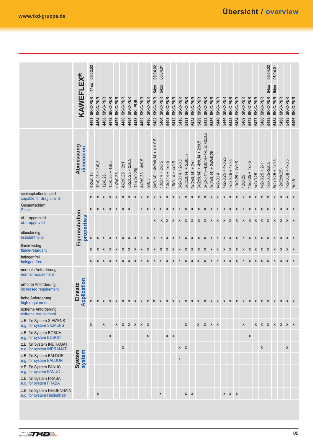|                                                                                           |                             | 44xx 05.03.02      |                    |                  |                   |                  |                  |                    |                           |                    |                  | 05.04.02                                                     | 05.04.01            |                     |                           |                    |                           |                     |                                  |                                      |                           |                  |                     |                    |                   |                  |                   |                  |                  | 05.04.02         | 05.04.01           |                    |                    |                           |
|-------------------------------------------------------------------------------------------|-----------------------------|--------------------|--------------------|------------------|-------------------|------------------|------------------|--------------------|---------------------------|--------------------|------------------|--------------------------------------------------------------|---------------------|---------------------|---------------------------|--------------------|---------------------------|---------------------|----------------------------------|--------------------------------------|---------------------------|------------------|---------------------|--------------------|-------------------|------------------|-------------------|------------------|------------------|------------------|--------------------|--------------------|--------------------|---------------------------|
|                                                                                           |                             |                    |                    |                  |                   |                  |                  |                    |                           |                    |                  | 54xx                                                         | 54xx                |                     |                           |                    |                           |                     |                                  |                                      |                           |                  |                     |                    |                   |                  |                   |                  |                  | 54 x x           | 54xx               |                    |                    |                           |
|                                                                                           | <b>KAWEFLEX®</b>            | SK-C-PUR<br>4461   | SK-C-PUR<br>4464   | SK-C-PUR<br>4468 | SK-C-PUR<br>4472  | SK-C-PUR<br>4476 | SK-C-PUR<br>4480 | SK-C-PUR<br>4484   | SK--PUR<br>4488           | SK-C-PUR<br>4492   | SK-C-PUR<br>4496 | SK-C-PUR<br>5402                                             | SK-C-PUR<br>5404    | SK-C-PUR<br>5408    | SK-C-PUR<br>5412          | SK-C-PUR<br>5416   | SK-C-PUR<br>5421          | SK-C-PUR<br>5424    | SK-C-PUR<br>5429                 | SK-C-PUR<br>5433                     | SK-C-PUR<br>5436          | SK-C-PUR<br>5440 | SK-C-PUR<br>5444    | SK-C-PUR<br>5448   | SK-C-PUR<br>5464  | SK-C-PUR<br>5469 | SK-C-PUR<br>5472  | SK-C-PUR<br>5477 | SK-C-PUR<br>5480 | SK-C-PUR<br>5482 | SK-C-PUR<br>5484   | SK-C-PUR<br>5488   | SK-C-PUR<br>5493   | SK-C-PUR<br>5496          |
|                                                                                           | Abmessung<br>dimension      | 4x2x0,18           | $10x0,25 + 2x0,5$  | 12x0,25          | $15x0,25 + 4x0,5$ | nx2x0,25         | $4x2x0,25 + 2x1$ | $5x2x0,25 + 2x0,5$ | 12x(2x0, 25)              | $4x2x0,38 + 4x0,5$ | 9x0,5            | $(4 \times 0, 14) + 4 \times 2 \times 0, 14 + 4 \times 0, 5$ | $10x0, 14 + 2x0, 5$ | $10x0, 14 + 4x0, 5$ | $15x0, 14 + 4x0, 5$       | $3x2x0,14 + 2x0,5$ | $3x(2x0, 14) + 2x(0, 5)$  | $3x(2x0, 14) + 2x1$ | $3x(2x0, 14) + 4x0, 14 + 2x0, 5$ | $3x(2x0, 14)+4x0, 14+4x0, 25+2x0, 5$ | $3x(2x0, 14) + 3x2x0, 25$ | 4x2x0,14         | $4x2x0,25 + 4x0,25$ | $4x2x0,25 + 4x0,5$ | $10x0,25 + 2x0,5$ | 12x0,25          | $15x0,25 + 4x0,5$ | nx2x0,25         | $4x2x0,25 + 2x1$ | 4x2x0,25+2x0,5   | $5x2x0,25 + 2x0,5$ | 12x(2x0, 25)       | $4x2x0,38 + 4x0,5$ | 9x0,5                     |
| schleppkettentauglich<br>capable for drag chains                                          |                             | X                  | X                  | X                | X                 | $\pmb{\chi}$     | $\boldsymbol{x}$ | X                  | $\pmb{\chi}$              | X                  | $\boldsymbol{x}$ | $\boldsymbol{\mathsf{x}}$                                    | $\boldsymbol{x}$    | X                   | X                         | X                  | X                         | $\boldsymbol{x}$    | $\pmb{\chi}$                     | $\boldsymbol{x}$                     | X                         | $\boldsymbol{x}$ | X                   | X                  | X                 | X                | X                 | $\boldsymbol{x}$ | $\pmb{\chi}$     | X                | X                  | $\pmb{\chi}$       | X                  | $\boldsymbol{\mathsf{x}}$ |
| Gesamtschirm<br><b>Shield</b>                                                             |                             | $\boldsymbol{x}$   | $\pmb{\chi}$       | $\pmb{\chi}$     | $\pmb{\chi}$      | $\pmb{\chi}$     | $\pmb{\chi}$     | $\boldsymbol{x}$   |                           | X                  | $\boldsymbol{x}$ | X                                                            | $\boldsymbol{x}$    | X                   | X                         | $\pmb{\chi}$       | X                         | X                   | X                                | X                                    | X                         | X                | X                   | X                  | X                 | X                | X                 | X                | $\pmb{\chi}$     | X                | X                  | $\pmb{\mathsf{X}}$ | X                  | $\boldsymbol{X}$          |
| cUL-approbiert<br>cUL-approved                                                            | Eigenschaften<br>properties |                    |                    |                  |                   |                  |                  |                    |                           |                    |                  | X                                                            | X                   | X                   | $\boldsymbol{X}$          | $\boldsymbol{x}$   | X                         | $\boldsymbol{X}$    | X                                | X                                    | X                         | $\boldsymbol{x}$ | X                   | X                  | $\pmb{\chi}$      | X                | X                 | X                | X                | X                | X                  | X                  | X                  | $\boldsymbol{\mathsf{x}}$ |
| ölbeständig<br>resistant to oil                                                           |                             | X                  | X                  | $\boldsymbol{X}$ | X                 | X                | X                | X                  | X                         | X                  | X                | $\boldsymbol{X}$                                             | X                   | X                   | X                         | X                  | X                         | $\boldsymbol{X}$    | X                                | X                                    | X                         | $\boldsymbol{X}$ | X                   | X                  | X                 | X                | X                 | X                | X                | X                | X                  | X                  | X                  | $\mathbf{x}$              |
| flammwidrig<br>flame-retardant                                                            |                             | X                  | X                  | X                | X                 | X                | X                | X                  | X                         | X                  | X                | X                                                            | X                   | X                   | X                         | X                  | X                         | X                   | X                                | X                                    | X                         | $\boldsymbol{X}$ | X                   | X                  | X                 | X                | X                 | X                | X                | X                | X                  | X                  | X                  | $\boldsymbol{X}$          |
| halogenfrei<br>halogen-free                                                               |                             | X                  | X                  | X                | X                 | X                | X                | X                  | X                         | X                  | X                | $\boldsymbol{x}$                                             | $\boldsymbol{X}$    | $\boldsymbol{X}$    | X                         | $\boldsymbol{x}$   | X                         | $\boldsymbol{x}$    | $\pmb{\chi}$                     | X                                    | X                         | X                | X                   | X                  | X                 | X                | X                 | X                | X                | X                | X                  | $\boldsymbol{x}$   | X                  | $\boldsymbol{X}$          |
| normale Anforderung<br>normal requirement<br>erhöhte Anforderung<br>increased requirement | Application<br>Einsatz      |                    |                    |                  |                   |                  |                  |                    |                           |                    |                  |                                                              |                     |                     |                           |                    |                           |                     |                                  |                                      |                           |                  |                     |                    |                   |                  |                   |                  |                  |                  |                    |                    |                    |                           |
| hohe Anforderung<br>high requirement                                                      |                             | $\pmb{\mathsf{X}}$ | $\pmb{\mathsf{X}}$ | $\mathbf{x}$     | $\mathbf{x}$      | $\mathbf{x}$     |                  | $X$ $X$            | $\mathbf{x}$              | $\mathbf{x}$       | $X$ $X$          |                                                              | $\mathbf{x}$        | $\boldsymbol{X}$    | $\boldsymbol{\mathsf{x}}$ | $\mathbf{x}$       | $\boldsymbol{x}$          | $\mathbf{x}$        | $\mathbf{x}$                     | $\mathbf{x}$                         | X X                       |                  | $X$ $X$             |                    | $\mathbf{x}$      | $\mathbf{x}$     | $\mathbf{x}$      | $\mathbf{x}$     | $\mathbf{x}$     | $\mathbf{x}$     | $\mathbf{x}$       | $\mathbf{x}$       | $X$ $X$            |                           |
| extreme Anforderung<br>extreme requirement                                                |                             |                    |                    |                  |                   |                  |                  |                    |                           |                    |                  |                                                              |                     |                     |                           |                    |                           |                     |                                  |                                      |                           |                  |                     |                    |                   |                  |                   |                  |                  |                  |                    |                    |                    |                           |
| z.B. für System SIEMENS<br>e.g. for system SIEMENS                                        |                             | $\pmb{\chi}$       |                    | $\pmb{\chi}$     |                   | X                | X                | $\mathbf{x}$       | $\boldsymbol{\mathsf{x}}$ | $\pmb{\chi}$       | $\boldsymbol{x}$ |                                                              |                     |                     |                           |                    | X                         |                     | X                                | $\boldsymbol{x}$                     | $X$ $X$                   |                  |                     |                    |                   | X                |                   | X                | X                | $\boldsymbol{x}$ | $\mathbf{x}$       | $\mathbf{x}$       | $X$ $X$            |                           |
| z.B. für System BOSCH<br>e.g. for system BOSCH                                            |                             |                    |                    |                  | X                 |                  |                  |                    |                           |                    | X                |                                                              |                     | $\pmb{\mathsf{x}}$  | $\pmb{\chi}$              |                    |                           |                     |                                  |                                      |                           |                  |                     |                    |                   |                  | X                 |                  |                  |                  |                    |                    |                    |                           |
| z.B. für System INDRAMAT<br>e.g. for system INDRAMAT                                      |                             |                    |                    |                  |                   |                  | X                |                    |                           |                    |                  |                                                              |                     |                     |                           | X                  | $\boldsymbol{\mathsf{x}}$ |                     |                                  |                                      |                           |                  |                     |                    |                   |                  |                   |                  | X                |                  |                    |                    | X                  |                           |
| z.B. für System BALDOR<br>e.g. for system BALDOR                                          | System<br>system            |                    |                    |                  |                   |                  |                  |                    |                           |                    |                  |                                                              |                     |                     |                           | $\pmb{\chi}$       |                           |                     |                                  |                                      |                           |                  |                     |                    |                   |                  |                   |                  |                  |                  |                    |                    |                    |                           |
| z.B. für System FANUC<br>e.g. for system FANUC                                            |                             |                    |                    |                  |                   |                  |                  |                    |                           |                    |                  |                                                              |                     |                     |                           |                    |                           |                     |                                  |                                      |                           |                  |                     |                    |                   |                  |                   |                  |                  |                  |                    |                    |                    |                           |
| z.B. für System FRABA<br>e.g. for system FRABA                                            |                             |                    |                    |                  |                   |                  |                  |                    |                           |                    |                  |                                                              |                     |                     |                           |                    |                           |                     |                                  |                                      |                           |                  |                     |                    |                   |                  |                   |                  |                  |                  |                    |                    |                    |                           |
| z.B. für System HEIDENHAIN<br>e.g. for system Heidenhain                                  |                             |                    | X                  |                  |                   |                  |                  |                    |                           |                    |                  |                                                              | X                   |                     |                           |                    | X                         | $\boldsymbol{X}$    |                                  |                                      |                           |                  |                     | $X$ $X$ $X$        |                   |                  |                   |                  |                  |                  |                    |                    |                    |                           |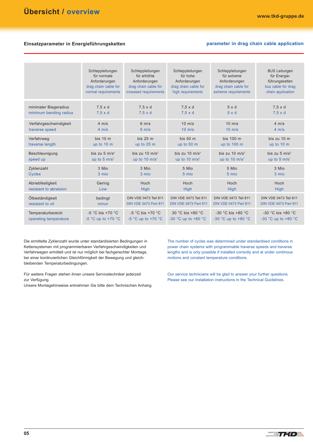### **Einsatzparameter in Energieführungsketten parameter in drag chain cable application**

|                        | Schleppleitungen       | Schleppleitungen             | Schleppleitungen                        | Schleppleitungen                        | <b>BUS Leitungen</b>                    |
|------------------------|------------------------|------------------------------|-----------------------------------------|-----------------------------------------|-----------------------------------------|
|                        | für normale            | für erhöhte                  | für hohe                                | für extreme                             | für Energie-                            |
|                        | Anforderungen          | Anforderungen                | Anforderungen                           | Anforderungen                           | führungsketten                          |
|                        | drag chain cable for   | drag chain cable for         | drag chain cable for                    | drag chain cable for                    | bus cable for drag                      |
|                        | normal requirements    | inceased requirements        | high requirements                       | extreme requirements                    | chain application                       |
| minimaler Biegeradius  | $7.5 \times d$         | $7.5 \times d$               | $7.5 \times d$                          | $5 \times d$                            | $7.5 \times d$                          |
| minimum bending radius | $7.5 \times d$         | $7.5 \times d$               | $7.5 \times d$                          | $5 \times d$                            | $7.5 \times d$                          |
| Verfahrgeschwindigkeit | $4 \, \text{m/s}$      | $6 \text{ m/s}$              | $10 \text{ m/s}$                        | $10 \text{ m/s}$                        | $4 \, \text{m/s}$                       |
| traverse speed         | $4 \, m/s$             | $6 \, \text{m/s}$            | $10 \text{ m/s}$                        | $10 \text{ m/s}$                        | $4 \, m/s$                              |
| Verfahrweg             | bis $10m$              | bis <sub>25</sub> m          | bis 50 m                                | bis 100 m                               | bis zu 10 m                             |
| traverse length        | up to 10 m             | up to $25m$                  | up to 50 m                              | up to 100 m                             | up to 10 m                              |
| Beschleunigung         | bis zu 5 $m/s2$        | bis zu 10 $m/s^2$            | bis zu 10 $m/s^2$                       | bis zu 10 $m/s^2$                       | bis zu $5 \text{ m/s}^2$                |
| speed up               | up to 5 $m/s2$         | up to 10 $m/s^2$             | up to 10 $m/s^2$                        | up to 10 $m/s^2$                        | up to $5 \text{ m/s}^2$                 |
| Zyklenzahl             | 3 Mio                  | 3 Mio                        | 5 Mio                                   | 5 Mio                                   | 3 Mio                                   |
| <b>Cycles</b>          | 3 mio                  | 3 mio                        | 5 mio                                   | 5 mio                                   | 3 mio                                   |
| Abriebfestigkeit       | Gering                 | Hoch                         | Hoch                                    | Hoch                                    | Hoch                                    |
| resistant to abraision | Low                    | <b>High</b>                  | <b>High</b>                             | <b>High</b>                             | <b>High</b>                             |
| Ölbeständigkeit        | bedingt                | <b>DIN VDE 0473 Teil 811</b> | <b>DIN VDE 0473 Teil 811</b>            | <b>DIN VDE 0473 Teil 811</b>            | <b>DIN VDE 0473 Teil 811</b>            |
| resistant to oil       | minor                  | <b>DIN VDE 0473 Part 811</b> | <b>DIN VDE 0473 Part 811</b>            | <b>DIN VDE 0473 Part 811</b>            | <b>DIN VDE 0473 Part 811</b>            |
| Temperaturbereich      | -5 °C bis +70 °C       | $-5$ °C bis +70 °C           | 30 °C bis +80 °C                        | -30 °C bis +80 $^{\circ}$ C             | -30 °C bis +80 $^{\circ}$ C             |
| operating temperature  | $-5$ °C up to $+70$ °C | $-5$ °C up to $+70$ °C       | -30 $^{\circ}$ C up to +80 $^{\circ}$ C | -30 $^{\circ}$ C up to +80 $^{\circ}$ C | -30 $^{\circ}$ C up to +80 $^{\circ}$ C |

Die ermittelte Zyklenzahl wurde unter standardisierten Bedingungen in Kettensystemen mit programmierbaren Verfahrgeschwindigkeiten und Verfahrwegen ermittelt und ist nur möglich bei fachgerechter Montage, bei einer kontinuierlichen Gleichförmigkeit der Bewegung und gleichbleibenden Temperaturbedingungen.

Für weitere Fragen stehen ihnen unsere Servicetechniker jederzeit zur Verfügung.

Unsere Montagehinweise entnehmen Sie bitte dem Technischen Anhang.

The number of cycles was determined under standardised conditions in power chain systems with programmable traverse speeds and traverse lengths and is only possible if installed correctly and at under continous motions and constant temperature conditions.

Our service technicians will be glad to answer your further questions. Please see our installation instructions in the Technical Guidelines.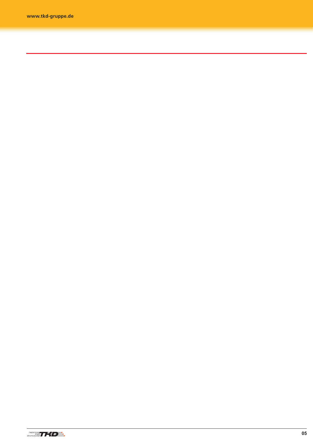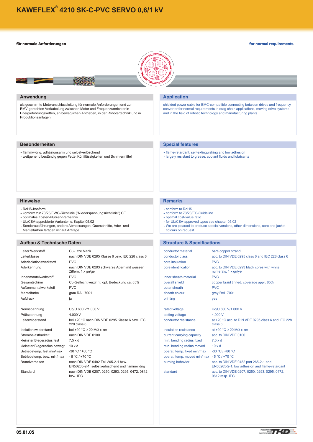### <span id="page-8-0"></span>**KAWEFLEX® [4210 SK-C-PVC SERVO 0,6/1 kV](#page-1-0)**

#### **für normale Anforderungen**

#### **for normal requirements**



#### **Anwendung**

als geschirmte Motoranschlussleitung für normale Anforderungen und zur EMV-gerechten Verkabelung zwischen Motor und Frequenzumrichter in Energieführungsketten, an beweglichen Antrieben, in der Robotertechnik und in Produktionsanlagen.

#### **Besonderheiten**

- flammwidrig, adhäsionsarm und selbstverlöschend
- weitgehend beständig gegen Fette, Kühlflüssigkeiten und Schmiermittel

#### **Application**

shielded power cable for EMC-compatible connecting between drives and frequency converter for normal requirements in drag chain applications, moving drive systems and in the field of robotic technology and manufacturing plants.

#### **Special features**

- flame-retardant, self-extinguishing and low adhesion
- largely resistant to grease, coolant fluids and lubricants

#### **Hinweise**

- RoHS-konform
- konform zur 73/23/EWG-Richtlinie ("Niederspannungsrichtlinie") CE
- optimales Kosten-Nutzen-Verhältnis
- UL/CSA-approbierte Varianten s. Kapitel 05.02
- Sonderausführungen, andere Abmessungen, Querschnitte, Ader- und Mantelfarben fertigen wir auf Anfrage.

#### **Aufbau & Technische Daten**

| Leiter Werkstoff             | Cu-Litze blank                                                                        |
|------------------------------|---------------------------------------------------------------------------------------|
| Leiterklasse                 | nach DIN VDE 0295 Klasse 6 bzw. IEC 228 class 6                                       |
| Aderisolationswerkstoff      | PVC.                                                                                  |
| Aderkennung                  | nach DIN VDE 0293 schwarze Adern mit weissen<br>Ziffern, 1 x gn/ge                    |
| Innenmantelwerkstoff         | <b>PVC</b>                                                                            |
| Gesamtschirm                 | Cu-Geflecht verzinnt, opt. Bedeckung ca. 85%                                          |
| Außenmantelwerkstoff         | <b>PVC</b>                                                                            |
| Mantelfarbe                  | grau RAL 7001                                                                         |
| Aufdruck                     | ja                                                                                    |
| Nennspannung                 | Uo/U 600 V/1.000 V                                                                    |
| Prüfspannung                 | 4.000 V                                                                               |
| Leiterwiderstand             | bei +20 °C nach DIN VDE 0295 Klasse 6 bzw. IEC<br>$228$ class $6$                     |
| Isolationswiderstand         | bei +20 °C $\geq$ 20 M $\Omega$ x km                                                  |
| Strombelastbarkeit           | nach DIN VDE 0100                                                                     |
| kleinster Biegeradius fest   | $7.5 \times d$                                                                        |
| kleinster Biegeradius bewegt | $10 \times d$                                                                         |
| Betriebstemp. fest min/max   | $-30 °C / +80 °C$                                                                     |
| Betriebstemp. bew. min/max   | $-5 °C / +70 °C$                                                                      |
| <b>Brandverhalten</b>        | nach DIN VDE 0482 Teil 265-2-1 bzw.<br>EN50265-2-1, selbstverlöschend und flammwidrig |
| Standard                     | nach DIN VDE 0207, 0250, 0293, 0295, 0472, 0812<br>bzw. IEC                           |

#### **Remarks**

- conform to RoHS
- conform to 73/23/EC-Guideline optimal cost-value ratio
- for UL/CSA-approved types see chapter 05.02
- We are pleased to produce special versions, other dimensions, core and jacket colours on request.

#### **Structure & Specifications**

| conductor material          | bare copper strand                                                                     |
|-----------------------------|----------------------------------------------------------------------------------------|
| conductor class             | acc. to DIN VDE 0295 class 6 and IEC 228 class 6                                       |
| core insulation             | <b>PVC</b>                                                                             |
| core identification         | acc. to DIN VDE 0293 black cores with white<br>numerals, $1 \times \text{gn/ye}$       |
| inner sheath material       | <b>PVC</b>                                                                             |
| overall shield              | copper braid tinned, coverage appr. 85%                                                |
| outer sheath                | PVC.                                                                                   |
| sheath colour               | grey RAL 7001                                                                          |
| printing                    | ves                                                                                    |
|                             |                                                                                        |
| rated voltage               | Uo/U 600 V/1.000 V                                                                     |
| testing voltage             | 4.000 V                                                                                |
| conductor resistance        | at +20 °C acc. to DIN VDE 0295 class 6 and IEC 228<br>class 6                          |
| insulation resistance       | at +20 $°C$ > 20 M $\Omega$ x km                                                       |
| current carrying capacity   | acc. to DIN VDE 0100                                                                   |
| min. bending radius fixed   | $7.5 \times d$                                                                         |
| min. bending radius moved   | $10 \times d$                                                                          |
| operat. temp. fixed min/max | $-30 °C / +80 °C$                                                                      |
| operat. temp. moved min/max | $-5 °C / +70 °C$                                                                       |
| burning behavior            | acc. to DIN VDE 0482 part 265-2-1 and<br>EN50265-2-1, low adhesion and flame-retardant |
| standard                    | acc. to DIN VDE 0207, 0250, 0293, 0295, 0472,<br>0812 resp. IEC                        |
|                             |                                                                                        |

 $\frac{1}{2}$   $\sqrt{2}$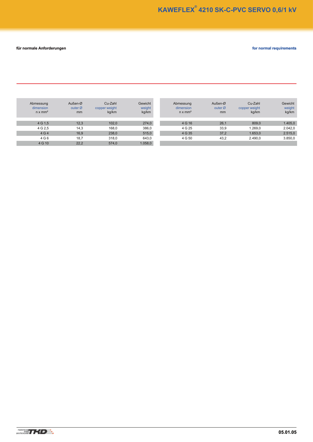**für normale Anforderungen for normal requirements**

| Abmessung<br>dimension<br>$n \times mm^2$ | Außen- $Ø$<br>outer $\varnothing$<br>mm | Cu-Zahl<br>copper weight<br>kg/km | Gewicht<br>weight<br>kg/km | Abmessung<br>dimension<br>$n \times mm^2$ | Außen-Ø<br>outer $\varnothing$<br>mm | Cu-Zahl<br>copper weight<br>kg/km | Gewicht<br>weight<br>kg/km |
|-------------------------------------------|-----------------------------------------|-----------------------------------|----------------------------|-------------------------------------------|--------------------------------------|-----------------------------------|----------------------------|
| 4 G 1.5                                   | 12,3                                    | 102,0                             | 274,0                      | 4 G 16                                    | 26,1                                 | 809.0                             | 1.405,0                    |
| 4 G 2,5                                   | 14,3                                    | 168,0                             | 386,0                      | 4 G 25                                    | 33,9                                 | 1.269,0                           | 2.042,0                    |
| 4 G 4                                     | 16.9                                    | 238,0                             | 515,0                      | 4 G 35                                    | 37,2                                 | 1.653.0                           | 2.515,0                    |
| 4 G 6                                     | 18,7                                    | 318.0                             | 643.0                      | 4 G 50                                    | 43,2                                 | 2.490,0                           | 3.850,0                    |
| 4 G 10                                    | 22,2                                    | 574,0                             | 1.058,0                    |                                           |                                      |                                   |                            |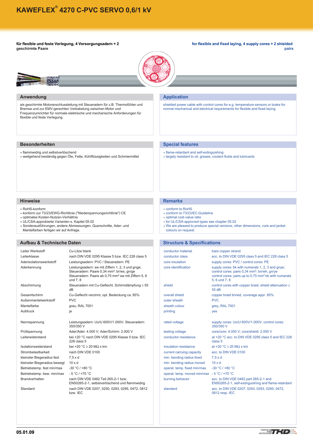## <span id="page-10-0"></span>**KAWEFLEX® [4270 C-PVC SERVO 0,6/1 kV](#page-1-0)**

**für flexible und feste Verlegung, 4 Versorgungsadern + 2 geschirmte Paare**



#### **Anwendung**

als geschirmte Motoranschlussleitung mit Steueradern für z.B. Thermofühler und Bremse und zur EMV-gerechten Verkabelung zwischen Motor und Frequenzumrichter für normale elektrische und mechanische Anforderungen für flexible und feste Verlegung.

#### **for flexible and fixed laying, 4 supply cores + 2 shielded pairs**

#### **Application**

shielded power cable with control cores for e.g. temperature sensors or brake for normal mechanical and electrical requirements for flexible and fixed laying.

#### **Besonderheiten**

- flammwidrig und selbstverlöschend
- weitgehend beständig gegen Öle, Fette, Kühlflüssigkeiten und Schmiermittel

#### **Special features**

- flame-retardant and self-extinguishing
- largely resistant to oil, grease, coolant fluids and lubricants

#### **Hinweise**

- RoHS-konform
- konform zur 73/23/EWG-Richtlinie ("Niederspannungsrichtlinie") CE
- optimales Kosten-Nutzen-Verhältnis
- UL/CSA-approbierte Varianten s. Kapitel 05.02
- Sonderausführungen, andere Abmessungen, Querschnitte, Ader- und Mantelfarben fertigen wir auf Anfrage.

#### **Aufbau & Technische Daten**

| Leiter Werkstoff             | Cu-Litze blank                                                                                                                                                                           |
|------------------------------|------------------------------------------------------------------------------------------------------------------------------------------------------------------------------------------|
| Leiterklasse                 | nach DIN VDE 0295 Klasse 5 bzw. IEC 228 class 5                                                                                                                                          |
| Aderisolationswerkstoff      | Leistungsadern: PVC / Steueradern: PE                                                                                                                                                    |
| Aderkennung                  | Leistungsadern: sw mit Ziffern 1, 2, 3 und gnge;<br>Steueradern: Paare 0,34 mm <sup>2</sup> : br/ws, gn/ge<br>Steueradern: Paare ab 0,75 mm <sup>2</sup> sw mit Ziffern 5, 6<br>und 7, 8 |
| Abschirmung                  | Steueradern mit Cu-Geflecht, Schirmdämpfung ≥ 55<br>dВ                                                                                                                                   |
| Gesamtschirm                 | Cu-Geflecht verzinnt, opt. Bedeckung ca. 85%                                                                                                                                             |
| Außenmantelwerkstoff         | <b>PVC</b>                                                                                                                                                                               |
| Mantelfarbe                  | grau, RAL 7001                                                                                                                                                                           |
| Aufdruck                     | ja                                                                                                                                                                                       |
| Nennspannung                 | Leistungsadern: Uo/U 600V/1.000V; Steueradern:<br>350/350 V                                                                                                                              |
| Prüfspannung                 | Ader/Ader: 4.000 V; Ader/Schirm: 2.000 V                                                                                                                                                 |
| Leiterwiderstand             | bei +20 °C nach DIN VDE 0295 Klasse 5 bzw. IEC<br>228 class 5                                                                                                                            |
| Isolationswiderstand         | bei +20 °C > 20 M $\Omega$ x km                                                                                                                                                          |
| Strombelastbarkeit           | nach DIN VDE 0100                                                                                                                                                                        |
| kleinster Biegeradius fest   | $7.5 \times d$                                                                                                                                                                           |
| kleinster Biegeradius bewegt | $10 \times d$                                                                                                                                                                            |
| Betriebstemp. fest min/max   | $-30 °C / +80 °C$                                                                                                                                                                        |
| Betriebstemp. bew. min/max   | $-5 °C / +70 °C$                                                                                                                                                                         |
| <b>Brandverhalten</b>        | nach DIN VDE 0482 Teil 265-2-1 bzw.<br>EN50265-2-1, selbstverlöschend und flammwidrig                                                                                                    |
| Standard                     | nach DIN VDE 0207, 0250, 0293, 0295, 0472, 0812<br>bzw. IEC                                                                                                                              |

#### **Remarks**

- conform to RoHS
- conform to 73/23/EC-Guideline optimal cost-value ratio
- for UL/CSA-approved types see chapter 05.02
- We are pleased to produce special versions, other dimensions, core and jacket colours on request.

#### **Structure & Specifications**

| າform<br>ur 73/23/EWG-Richtlinie ("Niederspannungsrichtlinie") CE<br>Kosten-Nutzen-Verhältnis<br>pprobierte Varianten s. Kapitel 05.02<br>sführungen, andere Abmessungen, Querschnitte, Ader- und<br>ben fertigen wir auf Anfrage. |                                                                                                                                                                                         | • conform to RoHS<br>• conform to 73/23/EC-Guideline<br>• optimal cost-value ratio<br>• for UL/CSA-approved types see chapter 05.02<br>. We are pleased to produce special versions, other dimensions, core and jacket<br>colours on request. |                                                                                                                                                                                                   |  |
|------------------------------------------------------------------------------------------------------------------------------------------------------------------------------------------------------------------------------------|-----------------------------------------------------------------------------------------------------------------------------------------------------------------------------------------|-----------------------------------------------------------------------------------------------------------------------------------------------------------------------------------------------------------------------------------------------|---------------------------------------------------------------------------------------------------------------------------------------------------------------------------------------------------|--|
|                                                                                                                                                                                                                                    |                                                                                                                                                                                         |                                                                                                                                                                                                                                               |                                                                                                                                                                                                   |  |
| <b>&amp; Technische Daten</b>                                                                                                                                                                                                      |                                                                                                                                                                                         | <b>Structure &amp; Specifications</b>                                                                                                                                                                                                         |                                                                                                                                                                                                   |  |
| :stoff                                                                                                                                                                                                                             | Cu-Litze blank                                                                                                                                                                          | conductor material                                                                                                                                                                                                                            | bare copper strand                                                                                                                                                                                |  |
|                                                                                                                                                                                                                                    | nach DIN VDE 0295 Klasse 5 bzw. IEC 228 class 5                                                                                                                                         | conductor class                                                                                                                                                                                                                               | acc. to DIN VDE 0295 class 5 and IEC 228 class 5                                                                                                                                                  |  |
| onswerkstoff                                                                                                                                                                                                                       | Leistungsadern: PVC / Steueradern: PE                                                                                                                                                   | core insulation                                                                                                                                                                                                                               | supply cores: PVC / control cores: PE                                                                                                                                                             |  |
| ng                                                                                                                                                                                                                                 | Leistungsadern: sw mit Ziffern 1, 2, 3 und gnge;<br>Steueradern: Paare 0,34 mm <sup>2</sup> : br/ws, qn/qe<br>Steueradern: Paare ab 0,75 mm <sup>2</sup> sw mit Ziffern 5, 6<br>und 7.8 | core identification                                                                                                                                                                                                                           | supply cores: bk with numerals 1, 2, 3 and gnye;<br>control cores: pairs 0,34 mm <sup>2</sup> : bn/wh, qn/ye<br>control cores: pairs up to 0,75 mm <sup>2</sup> bk with numerals<br>5, 6 und 7, 8 |  |
| ١g                                                                                                                                                                                                                                 | Steueradern mit Cu-Geflecht, Schirmdämpfung ≥ 55<br>dB                                                                                                                                  | shield                                                                                                                                                                                                                                        | control cores with copper braid, shield attenuation ≥<br>55 dB                                                                                                                                    |  |
| irm                                                                                                                                                                                                                                | Cu-Geflecht verzinnt, opt. Bedeckung ca. 85%                                                                                                                                            | overall shield                                                                                                                                                                                                                                | copper braid tinned, coverage appr. 85%                                                                                                                                                           |  |
| telwerkstoff                                                                                                                                                                                                                       | <b>PVC</b>                                                                                                                                                                              | outer sheath                                                                                                                                                                                                                                  | <b>PVC</b>                                                                                                                                                                                        |  |
|                                                                                                                                                                                                                                    | grau, RAL 7001                                                                                                                                                                          | sheath colour                                                                                                                                                                                                                                 | grey, RAL 7001                                                                                                                                                                                    |  |
|                                                                                                                                                                                                                                    | ja                                                                                                                                                                                      | printing                                                                                                                                                                                                                                      | <b>ves</b>                                                                                                                                                                                        |  |
| lung                                                                                                                                                                                                                               | Leistungsadern: Uo/U 600V/1.000V; Steueradern:<br>350/350 V                                                                                                                             | rated voltage                                                                                                                                                                                                                                 | supply cores: Uo/U 600V/1.000V; control cores:<br>350/350 V                                                                                                                                       |  |
| ıng                                                                                                                                                                                                                                | Ader/Ader: 4.000 V; Ader/Schirm: 2.000 V                                                                                                                                                | testing voltage                                                                                                                                                                                                                               | core/core: 4.000 V; core/shield: 2.000 V                                                                                                                                                          |  |
| stand                                                                                                                                                                                                                              | bei +20 °C nach DIN VDE 0295 Klasse 5 bzw. IEC<br>228 class 5                                                                                                                           | conductor resistance                                                                                                                                                                                                                          | at $+20$ °C acc. to DIN VDE 0295 class 5 and IEC 228<br>class <sub>5</sub>                                                                                                                        |  |
| iderstand                                                                                                                                                                                                                          | bei +20 °C $\geq$ 20 M $\Omega$ x km                                                                                                                                                    | insulation resistance                                                                                                                                                                                                                         | at +20 °C $\geq$ 20 M $\Omega$ x km                                                                                                                                                               |  |
| tbarkeit                                                                                                                                                                                                                           | nach DIN VDE 0100                                                                                                                                                                       | current carrying capacity                                                                                                                                                                                                                     | acc. to DIN VDE 0100                                                                                                                                                                              |  |
| egeradius fest                                                                                                                                                                                                                     | $7.5 \times d$                                                                                                                                                                          | min. bending radius fixed                                                                                                                                                                                                                     | $7.5 \times d$                                                                                                                                                                                    |  |
| egeradius bewegt                                                                                                                                                                                                                   | $10 \times d$                                                                                                                                                                           | min. bending radius moved                                                                                                                                                                                                                     | $10 \times d$                                                                                                                                                                                     |  |
| np. fest min/max                                                                                                                                                                                                                   | $-30 °C / +80 °C$                                                                                                                                                                       | operat. temp. fixed min/max                                                                                                                                                                                                                   | $-30 °C / +80 °C$                                                                                                                                                                                 |  |
| np. bew. min/max                                                                                                                                                                                                                   | $-5 °C / +70 °C$                                                                                                                                                                        | operat. temp. moved min/max - 5 °C / +70 °C                                                                                                                                                                                                   |                                                                                                                                                                                                   |  |
| ılten                                                                                                                                                                                                                              | nach DIN VDE 0482 Teil 265-2-1 bzw.<br>EN50265-2-1, selbstverlöschend und flammwidrig                                                                                                   | burning behavior                                                                                                                                                                                                                              | acc. to DIN VDE 0482 part 265-2-1 and<br>EN50265-2-1, self-extinguishing and flame-retardant                                                                                                      |  |
|                                                                                                                                                                                                                                    | nach DIN VDE 0207, 0250, 0293, 0295, 0472, 0812<br>bzw. IEC                                                                                                                             | standard                                                                                                                                                                                                                                      | acc. to DIN VDE 0207, 0250, 0293, 0295, 0472,<br>0812 resp. IEC                                                                                                                                   |  |
|                                                                                                                                                                                                                                    |                                                                                                                                                                                         |                                                                                                                                                                                                                                               |                                                                                                                                                                                                   |  |

 $(1)$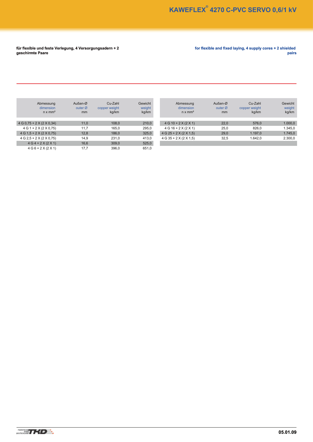**für flexible und feste Verlegung, 4 Versorgungsadern + 2 geschirmte Paare**

**for flexible and fixed laying, 4 supply cores + 2 shielded pairs**

| Abmessung<br>dimension<br>$n \times mm^2$ | Außen-Ø<br>outer $\varnothing$<br>mm | Cu-Zahl<br>copper weight<br>kg/km | Gewicht<br>weight<br>kg/km | Abmessung<br>dimension<br>$n \times mm^2$ | Außen-Ø<br>outer $\varnothing$<br>mm | Cu-Zahl<br>copper weight<br>kg/km | Gewicht<br>weight<br>kg/km |
|-------------------------------------------|--------------------------------------|-----------------------------------|----------------------------|-------------------------------------------|--------------------------------------|-----------------------------------|----------------------------|
|                                           |                                      |                                   |                            |                                           |                                      |                                   |                            |
| $4 G 0.75 + 2 X (2 X 0.34)$               | 11,0                                 | 108.0                             | 210,0                      | $4 G 10 + 2 X (2 X 1)$                    | 22,0                                 | 576.0                             | 1.000,0                    |
| $4 G 1 + 2 X (2 X 0.75)$                  | 11,7                                 | 165.0                             | 295,0                      | $4 G 16 + 2 X (2 X 1)$                    | 25,0                                 | 826.0                             | 1.345.0                    |
| $4 G 1, 5 + 2 X (2 X 0, 75)$              | 12.8                                 | 186.0                             | 325,0                      | $4 G 25 + 2 X (2 X 1, 5)$                 | 29,0                                 | 1.197.0                           | 1.745.0                    |
| $4 G 2.5 + 2 X (2 X 0.75)$                | 14,9                                 | 231.0                             | 413.0                      | $4 G 35 + 2 X (2 X 1, 5)$                 | 32,5                                 | 1.642.0                           | 2.300.0                    |
| $4 G 4 + 2 X (2 X 1)$                     | 16.6                                 | 309.0                             | 525,0                      |                                           |                                      |                                   |                            |
| $4 G6 + 2 X (2 X 1)$                      | 17,7                                 | 396,0                             | 651,0                      |                                           |                                      |                                   |                            |
|                                           |                                      |                                   |                            |                                           |                                      |                                   |                            |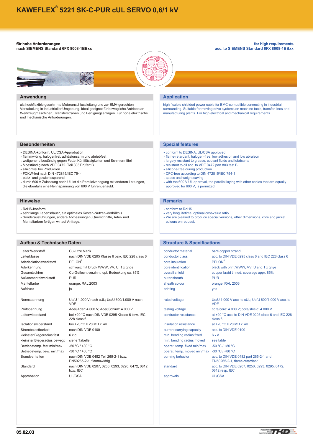## <span id="page-12-0"></span>**KAWEFLEX® [5221 SK-C-PUR cUL SERVO 0,6/1 kV](#page-1-0)**

#### **für hohe Anforderungen nach SIEMENS Standard 6FX 8008-1BBxx**

**for high requirements acc. to SIEMENS Standard 6FX 8008-1BBxx**



#### **Anwendung**

als hochflexible geschirmte Motoranschlussleitung und zur EMV-gerechten Verkabelung in industrieller Umgebung. Ideal geeignet für bewegliche Antriebe an Werkzeugmaschinen, Transferstraßen und Fertigungsanlagen. Für hohe elektrische und mechanische Anforderungen.

### manufacturing plants. For high electrical and mechanical requirements.

**Application**

#### **Besonderheiten**

- DESINA-konform, UL/CSA-Approbation
- flammwidrig, halogenfrei, adhäsionsarm und abriebfest
- weitgehend beständig gegen Fette, Kühlflüssigkeiten und Schmiermittel
- ölbeständig nach VDE 0472. Teil 803 Prüfart B
- silikonfrei bei Produktion
- FCKW-frei nach DIN 472815/IEC 754-1
- platz- und gewichtssparend
- durch 600 V Zulassung nach UL ist die Parallelverlegung mit anderen Leitungen, die ebenfalls eine Nennspannung von 600 V führen, erlaubt.

#### **Hinweise**

- RoHS-konform
- sehr lange Lebensdauer, ein optimales Kosten-Nutzen-Verhältnis
- Sonderausführungen, andere Abmessungen, Querschnitte, Ader- und Mantelfarben fertigen wir auf Anfrage.

#### **Aufbau & Technische Daten**

| Cu-Litze blank                                                    |
|-------------------------------------------------------------------|
| nach DIN VDE 0295 Klasse 6 bzw. IEC 228 class 6                   |
| PELON <sup>®</sup>                                                |
| schwarz mit Druck WWW, VV, U, 1 x gnge                            |
| Cu-Geflecht verzinnt, opt. Bedeckung ca. 85%                      |
| <b>PUR</b>                                                        |
| orange, RAL 2003                                                  |
| ja                                                                |
| Uo/U 1.000 V nach cUL: Uo/U 600/1.000 V nach<br><b>VDE</b>        |
| Ader/Ader: 4.000 V: Ader/Schirm: 4.000 V                          |
| bei +20 °C nach DIN VDE 0295 Klasse 6 bzw. IEC<br>$228$ class $6$ |
| bei +20 °C > 20 M $\Omega$ x km                                   |
| nach DIN VDE 0100                                                 |
| $6 \times d$                                                      |
| siehe Tabelle                                                     |
| $-50 °C / +80 °C$                                                 |
| $-30 °C / +80 °C$                                                 |
| nach DIN VDE 0482 Teil 265-2-1 bzw.<br>EN50265-2-1, flammwidrig   |
| nach DIN VDE 0207, 0250, 0293, 0295, 0472, 0812<br>bzw. IEC       |
| UL/CSA                                                            |
|                                                                   |

#### **Special features**

- conform to DESINA, UL/CSA approved
- flame-retardant, halogen-free, low adhesion and low abraison
- largely resistant to grease, coolant fluids and lubricants
- resistant to oil acc. to VDE 0472 part 803 test B
- silicone-free during production
- CFC-free according to DIN 472815/IEC 754-1
- space and weight saving
- with the 600 V UL approval, the parallel laying with other cables that are equally approved for 600 V, is permitted.

high flexible shielded power cable for EMC-compatible connecting in industrial surrounding. Suitable for moving drive systems on machine tools, transfer lines and

#### **Remarks**

- conform to RoHS
- very long lifetime, optimal cost-value ratio
- We are pleased to produce special versions, other dimensions, core and jacket colours on request.

| conductor material                          | bare copper strand                                                       |
|---------------------------------------------|--------------------------------------------------------------------------|
| conductor class                             | acc. to DIN VDE 0295 class 6 and IEC 228 class 6                         |
| core insulation                             | PFI ON®                                                                  |
| core identification                         | black with print WWW, VV, U and 1 x gnye                                 |
| overall shield                              | copper braid tinned, coverage appr. 85%                                  |
| outer sheath                                | <b>PUR</b>                                                               |
| sheath colour                               | orange, RAL 2003                                                         |
| printing                                    | <b>ves</b>                                                               |
|                                             |                                                                          |
| rated voltage                               | Uo/U 1.000 V acc. to cUL: Uo/U 600/1.000 V acc. to<br><b>VDF</b>         |
| testing voltage                             | core/core: 4.000 V; core/shield: 4.000 V                                 |
| conductor resistance                        | at +20 °C acc. to DIN VDE 0295 class 6 and IEC 228<br>class <sub>6</sub> |
| insulation resistance                       | at +20 $°C > 20$ MQ x km                                                 |
| current carrying capacity                   | acc. to DIN VDE 0100                                                     |
| min. bending radius fixed                   | 6xd                                                                      |
| min. bending radius moved                   | see table                                                                |
| operat. temp. fixed min/max                 | $-50 °C / +80 °C$                                                        |
| operat. temp. moved min/max -30 °C / +80 °C |                                                                          |
| burning behavior                            | acc. to DIN VDE 0482 part 265-2-1 and<br>EN50265-2-1, flame-retardant    |
| standard                                    | acc. to DIN VDE 0207, 0250, 0293, 0295, 0472,<br>0812 resp. IEC          |
| approvals                                   | <b>UL/CSA</b>                                                            |
|                                             |                                                                          |
|                                             |                                                                          |
|                                             |                                                                          |

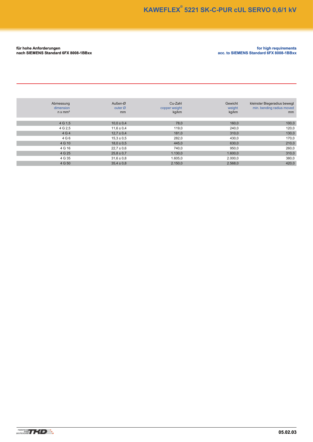**für hohe Anforderungen nach SIEMENS Standard 6FX 8008-1BBxx**

**for high requirements acc. to SIEMENS Standard 6FX 8008-1BBxx**

| Abmessung<br>dimension<br>$n \times mm^2$ | Außen-Ø<br>outer $\varnothing$<br><sub>mm</sub> | Cu-Zahl<br>copper weight<br>kg/km | Gewicht<br>weight<br>kg/km | kleinster Biegeradius bewegt<br>min. bending radius moved<br><sub>mm</sub> |
|-------------------------------------------|-------------------------------------------------|-----------------------------------|----------------------------|----------------------------------------------------------------------------|
| 4 G 1.5                                   | $10.0 \pm 0.4$                                  | 78,0                              | 160,0                      | 100,0                                                                      |
| 4 G 2,5                                   | $11.6 \pm 0.4$                                  | 119,0                             | 240,0                      | 120,0                                                                      |
| 4 G 4                                     | $12.7 \pm 0.4$                                  | 181,0                             | 310,0                      | 130,0                                                                      |
| 4 G 6                                     | $15.3 \pm 0.5$                                  | 282,0                             | 430,0                      | 170,0                                                                      |
| 4 G 10                                    | $18.0 \pm 0.5$                                  | 445,0                             | 630,0                      | 210,0                                                                      |
| 4 G 16                                    | $22.7 \pm 0.6$                                  | 740,0                             | 950,0                      | 260,0                                                                      |
| 4 G 25                                    | $25.8 \pm 0.7$                                  | 1.130,0                           | 1.600,0                    | 310,0                                                                      |
| 4 G 35                                    | $31.6 \pm 0.8$                                  | 1.605,0                           | 2.000,0                    | 380,0                                                                      |
| 4 G 50                                    | $35.4 \pm 0.8$                                  | 2.150,0                           | 2.568,0                    | 420,0                                                                      |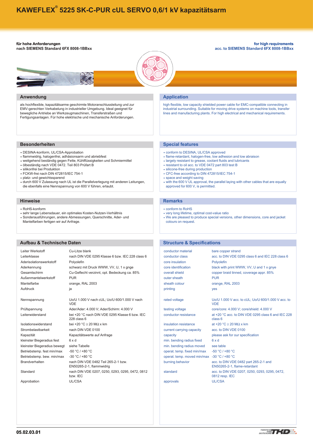## <span id="page-14-0"></span>**KAWEFLEX® [5225 SK-C-PUR cUL SERVO 0,6/1 kV kapazitätsarm](#page-1-0)**

#### **für hohe Anforderungen nach SIEMENS Standard 6FX 8008-1BBxx**

#### **for high requirements acc. to SIEMENS Standard 6FX 8008-1BBxx**



#### **Anwendung**

als hochflexible, kapazitätsarme geschirmte Motoranschlussleitung und zur EMV-gerechten Verkabelung in industrieller Umgebung. Ideal geeignet für bewegliche Antriebe an Werkzeugmaschinen, Transferstraßen und Fertigungsanlagen. Für hohe elektrische und mechanische Anforderungen.

#### **Besonderheiten**

- DESINA-konform, UL/CSA-Approbation
- flammwidrig, halogenfrei, adhäsionsarm und abriebfest
- weitgehend beständig gegen Fette, Kühlflüssigkeiten und Schmiermittel
- ölbeständig nach VDE 0472. Teil 803 Prüfart B silikonfrei bei Produktion
- 
- FCKW-frei nach DIN 472815/IEC 754-1 platz- und gewichtssparend
- 
- durch 600 V Zulassung nach UL ist die Parallelverlegung mit anderen Leitungen, die ebenfalls eine Nennspannung von 600 V führen, erlaubt.

#### **Hinweise**

- RoHS-konform
- sehr lange Lebensdauer, ein optimales Kosten-Nutzen-Verhältnis
- Sonderausführungen, andere Abmessungen, Querschnitte, Ader- und Mantelfarben fertigen wir auf Anfrage.

#### **Aufbau & Technische Daten**

| Cu-Litze blank                                                    |
|-------------------------------------------------------------------|
| nach DIN VDE 0295 Klasse 6 bzw. IEC 228 class 6                   |
| Polyolefin                                                        |
| schwarz mit Druck WWW, VV, U, 1 x gnge                            |
| Cu-Geflecht verzinnt, opt. Bedeckung ca. 85%                      |
| <b>PUR</b>                                                        |
| orange, RAL 2003                                                  |
| ja                                                                |
| Uo/U 1.000 V nach cUL: Uo/U 600/1.000 V nach<br><b>VDF</b>        |
| Ader/Ader: 4.000 V; Ader/Schirm: 4.000 V                          |
| bei +20 °C nach DIN VDE 0295 Klasse 6 bzw. IEC<br>$228$ class $6$ |
| bei +20 °C > 20 M $\Omega$ x km                                   |
| nach DIN VDE 0100                                                 |
| Kapazitätswerte auf Anfrage                                       |
| h x d                                                             |
| siehe Tabelle                                                     |
| $-50 °C / +80 °C$                                                 |
| $-30 °C / +80 °C$                                                 |
| nach DIN VDE 0482 Teil 265-2-1 bzw.<br>EN50265-2-1, flammwidrig   |
| nach DIN VDE 0207, 0250, 0293, 0295, 0472, 0812<br>bzw. IEC       |
| UL/CSA                                                            |
|                                                                   |

#### **Application**

high flexible, low capacity shielded power cable for EMC-compatible connecting in industrial surrounding. Suitable for moving drive systems on machine tools, transfer lines and manufacturing plants. For high electrical and mechanical requirements.

#### **Special features**

- conform to DESINA, UL/CSA approved
- flame-retardant, halogen-free, low adhesion and low abraison
- largely resistant to grease, coolant fluids and lubricants
- resistant to oil acc. to VDE 0472 part 803 test B
- silicone-free during production CFC-free according to DIN 472815/IEC 754-1
- space and weight saving
- with the 600 V UL approval, the parallel laying with other cables that are equally approved for 600 V, is permitted.

#### **Remarks**

- conform to RoHS
- very long lifetime, optimal cost-value ratio
- We are pleased to produce special versions, other dimensions, core and jacket colours on request.

| conductor material          | bare copper strand                                                    |
|-----------------------------|-----------------------------------------------------------------------|
| conductor class             | acc. to DIN VDE 0295 class 6 and IEC 228 class 6                      |
|                             |                                                                       |
| core insulation             | Polyolefin                                                            |
| core identification         | black with print WWW, VV, U and 1 x gnye                              |
| overall shield              | copper braid tinned, coverage appr. 85%                               |
| outer sheath                | <b>PUR</b>                                                            |
| sheath colour               | orange, RAL 2003                                                      |
| printing                    | ves                                                                   |
|                             |                                                                       |
| rated voltage               | Uo/U 1.000 V acc. to cUL: Uo/U 600/1.000 V acc. to<br><b>VDF</b>      |
| testing voltage             | core/core: 4.000 V; core/shield: 4.000 V                              |
| conductor resistance        | at $+20$ °C acc. to DIN VDE 0295 class 6 and IEC 228<br>class 6       |
| insulation resistance       | at +20 $°C$ > 20 M $\Omega$ x km                                      |
| current carrying capacity   | acc. to DIN VDE 0100                                                  |
| capacity                    | please ask for our specification                                      |
| min. bending radius fixed   | 6xd                                                                   |
| min. bending radius moved   | see table                                                             |
| operat. temp. fixed min/max | $-50 °C / +80 °C$                                                     |
| operat. temp. moved min/max | $-30 °C / +80 °C$                                                     |
| burning behavior            | acc. to DIN VDE 0482 part 265-2-1 and<br>EN50265-2-1, flame-retardant |
| standard                    | acc. to DIN VDE 0207, 0250, 0293, 0295, 0472,<br>0812 resp. IEC       |
| approvals                   | <b>UL/CSA</b>                                                         |
|                             |                                                                       |
|                             |                                                                       |

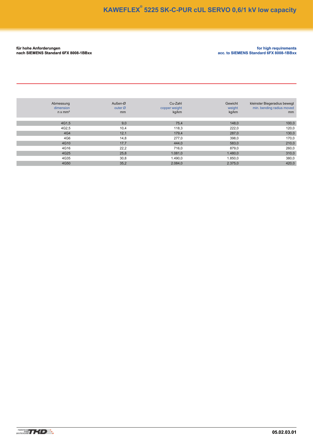**für hohe Anforderungen nach SIEMENS Standard 6FX 8008-1BBxx**

**for high requirements acc. to SIEMENS Standard 6FX 8008-1BBxx**

| Abmessung<br>dimension<br>$n \times mm2$ | Außen-Ø<br>outer $\varnothing$<br>mm | Cu-Zahl<br>copper weight<br>kg/km | Gewicht<br>weight<br>kg/km | kleinster Biegeradius bewegt<br>min. bending radius moved<br>mm |
|------------------------------------------|--------------------------------------|-----------------------------------|----------------------------|-----------------------------------------------------------------|
| 4G1,5                                    | 9,0                                  | 75,4                              | 148,0                      | 100,0                                                           |
| 4G2,5                                    | 10,4                                 | 118,3                             | 222,0                      | 120,0                                                           |
| 4G4                                      | 12,1                                 | 179,4                             | 287,0                      | 130,0                                                           |
| 4G6                                      | 14,8                                 | 277,0                             | 398,0                      | 170,0                                                           |
| 4G10                                     | 17,7                                 | 444,0                             | 583,0                      | 210,0                                                           |
| 4G16                                     | 22,2                                 | 716,0                             | 879,0                      | 260,0                                                           |
| 4G25                                     | 25,8                                 | 1.081,0                           | 1.480,0                    | 310,0                                                           |
| 4G35                                     | 30,8                                 | 1.490,0                           | 1.850,0                    | 380,0                                                           |
| 4G50                                     | 35,2                                 | 2.084,0                           | 2.375,0                    | 420,0                                                           |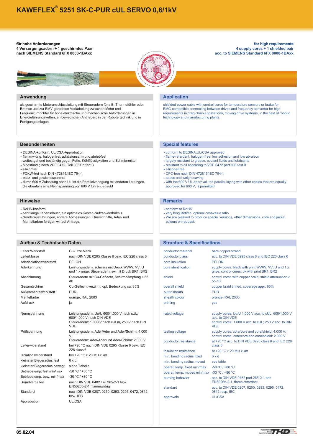#### <span id="page-16-0"></span>**für hohe Anforderungen**

**4 Versorgungsadern + 1 geschirmtes Paar nach SIEMENS Standard 6FX 8008-1BAxx**



#### **Anwendung**

als geschirmte Motoranschlussleitung mit Steueradern für z.B. Thermofühler oder Bremse und zur EMV-gerechten Verkabelung zwischen Motor und Frequenzumrichter für hohe elektrische und mechanische Anforderungen in Energieführungsketten, an beweglichen Antrieben, in der Robotertechnik und in Fertigungsanlagen.

#### **Besonderheiten**

- DESINA-konform, UL/CSA-Approbation
- flammwidrig, halogenfrei, adhäsionsarm und abriebfest
- weitestgehend beständig gegen Fette, Kühlflüssigkeiten und Schmiermittel
- ölbeständig nach VDE 0472. Teil 803 Prüfart B
- silikonfrei
- FCKW-frei nach DIN 472815/IEC 754-1
- platz- und gewichtssparend
- durch 600 V Zulassung nach UL ist die Parallelverlegung mit anderen Leitungen, die ebenfalls eine Nennspannung von 600 V führen, erlaubt

#### **Hinweise**

- RoHS-konform
- sehr lange Lebensdauer, ein optimales Kosten-Nutzen-Verhältnis
- Sonderausführungen, andere Abmessungen, Querschnitte, Ader- und Mantelfarben fertigen wir auf Anfrage.

#### **Aufbau & Technische Daten**

| Leiter Werkstoff             | Cu-Litze blank                                                                                   |
|------------------------------|--------------------------------------------------------------------------------------------------|
| Leiterklasse                 | nach DIN VDE 0295 Klasse 6 bzw. IEC 228 class 6                                                  |
| Aderisolationswerkstoff      | PFI ON                                                                                           |
| Aderkennung                  | Leistungsadern: schwarz mit Druck WWW, VV, U<br>und 1 x gnge; Steueradern: sw mit Druck BR1, BR2 |
| Abschirmung                  | Steueradern mit Cu-Geflecht, Schirmdämpfung ≥ 55<br>ďВ                                           |
| Gesamtschirm                 | Cu-Geflecht verzinnt, opt. Bedeckung ca. 85%                                                     |
| Außenmantelwerkstoff         | <b>PUR</b>                                                                                       |
| Mantelfarbe                  | orange, RAL 2003                                                                                 |
| Aufdruck                     | ja                                                                                               |
|                              |                                                                                                  |
| Nennspannung                 | Leistungsadern: Uo/U 600/1.000 V nach cUL;<br>600/1.000 V nach DIN VDE                           |
|                              | Steueradern: 1.000 V nach cULm, 250 V nach DIN<br><b>VDE</b>                                     |
| Prüfspannung                 | Leistungsadern: Ader/Ader und Ader/Schirm: 4.000<br>V:                                           |
|                              | Steueradern: Ader/Ader und Ader/Schirm: 2.000 V                                                  |
| Leiterwiderstand             | bei +20 °C nach DIN VDE 0295 Klasse 6 bzw. IEC<br>$228$ class $6$                                |
| Isolationswiderstand         | bei +20 °C $\geq$ 20 M $\Omega$ x km                                                             |
| kleinster Biegeradius fest   | h x d                                                                                            |
| kleinster Biegeradius bewegt | siehe Tabelle                                                                                    |
| Betriebstemp. fest min/max   | $-50 °C / +80 °C$                                                                                |
| Betriebstemp. bew. min/max   | $-30 °C / +80 °C$                                                                                |
| Brandverhalten               | nach DIN VDE 0482 Teil 265-2-1 bzw.<br>EN50265-2-1, flammwidrig                                  |
| Standard                     | nach DIN VDE 0207, 0250, 0293, 0295, 0472, 0812<br>bzw. IEC                                      |
| Approbation                  | UL/CSA                                                                                           |

#### **for high requirements 4 supply cores + 1 shielded pair acc. to SIEMENS Standard 6FX 8008-1BAxx**

#### **Application**

shielded power cable with control cores for temperature sensors or brake for EMC-compatible connecting between drives and frequency converter for high requirements in drag chain applications, moving drive systems, in the field of robotic technology and manufacturing plants.

#### **Special features**

- conform to DESINA,UL/CSA approved
- flame-retardant, halogen-free, low adhesion and low abraison
- largely resistant to grease, coolant fluids and lubricants
- resistant to oil according to VDE 0472 part 803 test B
- silicone-free
- CFC-free nach DIN 472815/IEC 754-1
- space and weight saving
- with the 600 V UL approval, the parallel laying with other cables that are equally approved for 600 V, is permitted

#### **Remarks**

- conform to RoHS
- very long lifetime, optimal cost-value ratio
- We are pleased to produce special versions, other dimensions, core and jacket colours on request.

| conductor material                          | bare copper strand                                                                                                                            |
|---------------------------------------------|-----------------------------------------------------------------------------------------------------------------------------------------------|
| conductor class                             | acc. to DIN VDE 0295 class 6 and IEC 228 class 6                                                                                              |
| core insulation                             | <b>PELON</b>                                                                                                                                  |
| core identification                         | supply cores: black with print WWW, VV, U and 1 x<br>gnye; control cores: bk with print BR1, BR2                                              |
| shield                                      | control cores with copper braid, shield attenuation $\geq$<br>55 dB                                                                           |
| overall shield                              | copper braid tinned, coverage appr. 85%                                                                                                       |
| outer sheath                                | PUR                                                                                                                                           |
| sheath colour                               | orange, RAL 2003                                                                                                                              |
| printing                                    | yes                                                                                                                                           |
| rated voltage                               | supply cores: Uo/U 1.000 V acc. to cUL, 600/1.000 V<br>acc. to DIN VDE<br>control cores: 1.000 V acc. to cUL; 250 V acc. to DIN<br><b>VDE</b> |
| testing voltage                             | supply cores: core/core and core/shield: 4.000 V;<br>control cores: core/core and core/shield: 2,000 V                                        |
| conductor resistance                        | at +20 °C acc. to DIN VDE 0295 class 6 and IEC 228<br>class 6                                                                                 |
| insulation resistance                       | at +20 °C $\geq$ 20 M $\Omega$ x km                                                                                                           |
| min. bending radius fixed                   | 6xd                                                                                                                                           |
| min. bending radius moved                   | see table                                                                                                                                     |
| operat. temp. fixed min/max                 | $-50 °C / +80 °C$                                                                                                                             |
| operat. temp. moved min/max -30 °C / +80 °C |                                                                                                                                               |
| burning behavior                            | acc. to DIN VDE 0482 part 265-2-1 and<br>EN50265-2-1. flame-retardant                                                                         |
| standard                                    | acc. to DIN VDE 0207, 0250, 0293, 0295, 0472,<br>0812 resp. IEC                                                                               |
| approvals                                   | <b>UL/CSA</b>                                                                                                                                 |
|                                             |                                                                                                                                               |

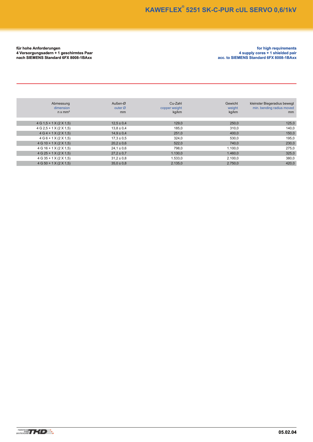**für hohe Anforderungen 4 Versorgungsadern + 1 geschirmtes Paar nach SIEMENS Standard 6FX 8008-1BAxx**

**for high requirements 4 supply cores + 1 shielded pair acc. to SIEMENS Standard 6FX 8008-1BAxx**

| Abmessung<br>dimension<br>$n \times mm^2$ | Außen- $Ø$<br>outer $\varnothing$<br>mm | Cu-Zahl<br>copper weight<br>kg/km | Gewicht<br>weight<br>kg/km | kleinster Biegeradius bewegt<br>min. bending radius moved<br>mm |
|-------------------------------------------|-----------------------------------------|-----------------------------------|----------------------------|-----------------------------------------------------------------|
| $4 G 1,5 + 1 X (2 X 1,5)$                 | $12.5 \pm 0.4$                          | 129,0                             | 250,0                      | 125,0                                                           |
| $4 G 2.5 + 1 X (2 X 1.5)$                 | $13.8 \pm 0.4$                          | 185,0                             | 310,0                      | 140,0                                                           |
| $4 G 4 + 1 X (2 X 1, 5)$                  | $14.9 \pm 0.4$                          | 251,0                             | 400,0                      | 150,0                                                           |
| $4 G 6 + 1 X (2 X 1, 5)$                  | $17.3 \pm 0.5$                          | 324,0                             | 530,0                      | 195,0                                                           |
| $4 G 10 + 1 X (2 X 1, 5)$                 | $20.2 \pm 0.6$                          | 522,0                             | 740.0                      | 230,0                                                           |
| $4 G 16 + 1 X (2 X 1, 5)$                 | $24.1 \pm 0.6$                          | 798,0                             | 1.100,0                    | 275,0                                                           |
| $4 G 25 + 1 X (2 X 1, 5)$                 | $27.2 \pm 0.7$                          | 1.130,0                           | 1.460,0                    | 325,0                                                           |
| $4 G 35 + 1 X (2 X 1, 5)$                 | $31.2 \pm 0.8$                          | 1.533,0                           | 2.100,0                    | 380,0                                                           |
| $4 G 50 + 1 X (2 X 1, 5)$                 | $35.0 \pm 0.8$                          | 2.135,0                           | 2.750,0                    | 420,0                                                           |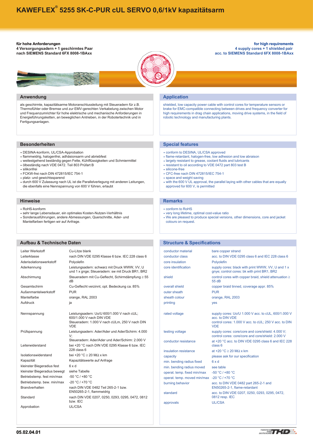#### <span id="page-18-0"></span>**für hohe Anforderungen**

**4 Versorgungsadern + 1 geschirmtes Paar nach SIEMENS Standard 6FX 8008-1BAxx**



#### **Anwendung**

als geschirmte, kapazitätsarme Motoranschlussleitung mit Steueradern für z.B. Thermofühler oder Bremse und zur EMV-gerechten Verkabelung zwischen Motor und Frequenzumrichter für hohe elektrische und mechanische Anforderungen in Energieführungsketten, an beweglichen Antrieben, in der Robotertechnik und in Fertigungsanlagen.

#### **Besonderheiten**

- DESINA-konform, UL/CSA-Approbation
- flammwidrig, halogenfrei, adhäsionsarm und abriebfest
- weitestgehend beständig gegen Fette, Kühlflüssigkeiten und Schmiermittel
- ölbeständig nach VDE 0472. Teil 803 Prüfart B
- silikonfrei
- FCKW-frei nach DIN 472815/IEC 754-1
- platz- und gewichtssparend
- durch 600 V Zulassung nach UL ist die Parallelverlegung mit anderen Leitungen, die ebenfalls eine Nennspannung von 600 V führen, erlaubt

#### **Hinweise**

- RoHS-konform
- sehr lange Lebensdauer, ein optimales Kosten-Nutzen-Verhältnis
- Sonderausführungen, andere Abmessungen, Querschnitte, Ader- und Mantelfarben fertigen wir auf Anfrage.

#### **Aufbau & Technische Daten**

| Leiter Werkstoff             | Cu-Litze blank                                                                                   |
|------------------------------|--------------------------------------------------------------------------------------------------|
| Leiterklasse                 | nach DIN VDE 0295 Klasse 6 bzw. IEC 228 class 6                                                  |
| Aderisolationswerkstoff      | Polyolefin                                                                                       |
| Aderkennung                  | Leistungsadern: schwarz mit Druck WWW, VV, U<br>und 1 x gnge; Steueradern: sw mit Druck BR1, BR2 |
| Abschirmung                  | Steueradern mit Cu-Geflecht, Schirmdämpfung ≥ 55<br>dВ                                           |
| Gesamtschirm                 | Cu-Geflecht verzinnt, opt. Bedeckung ca. 85%                                                     |
| Außenmantelwerkstoff         | PUR                                                                                              |
| Mantelfarbe                  | orange, RAL 2003                                                                                 |
| Aufdruck                     | ja                                                                                               |
|                              |                                                                                                  |
| Nennspannung                 | Leistungsadern: Uo/U 600/1.000 V nach cUL;<br>600/1.000 V nach DIN VDE                           |
|                              | Steueradern: 1.000 V nach cULm, 250 V nach DIN<br><b>VDF</b>                                     |
| Prüfspannung                 | Leistungsadern: Ader/Ader und Ader/Schirm: 4.000<br>V:                                           |
|                              | Steueradern: Ader/Ader und Ader/Schirm: 2.000 V                                                  |
| Leiterwiderstand             | bei +20 °C nach DIN VDE 0295 Klasse 6 bzw. IEC<br>$228$ class $6$                                |
| Isolationswiderstand         | bei +20 °C $\geq$ 20 M $\Omega$ x km                                                             |
| Kapazität                    | Kapazitätswerte auf Anfrage                                                                      |
| kleinster Biegeradius fest   | 6 x d                                                                                            |
| kleinster Biegeradius bewegt | siehe Tabelle                                                                                    |
| Betriebstemp. fest min/max   | $-50 °C / +80 °C$                                                                                |
| Betriebstemp. bew. min/max   | $-20 °C / +70 °C$                                                                                |
| <b>Brandverhalten</b>        | nach DIN VDE 0482 Teil 265-2-1 bzw.<br>EN50265-2-1, flammwidrig                                  |
| Standard                     | nach DIN VDE 0207, 0250, 0293, 0295, 0472, 0812<br>hzw IFC                                       |
| Approbation                  | UL/CSA                                                                                           |

#### **for high requirements 4 supply cores + 1 shielded pair acc. to SIEMENS Standard 6FX 8008-1BAxx**

#### **Application**

shielded, low capacity power cable with control cores for temperature sensors or brake for EMC-compatible connecting between drives and frequency converter for high requirements in drag chain applications, moving drive systems, in the field of robotic technology and manufacturing plants.

#### **Special features**

- conform to DESINA, UL/CSA approved
- flame-retardant, halogen-free, low adhesion and low abraison
- largely resistant to grease, coolant fluids and lubricants
- resistant to oil according to VDE 0472 part 803 test B
- silicone-free
- CFC-free nach DIN 472815/IEC 754-1
- space and weight saving
- with the 600 V UL approval, the parallel laying with other cables that are equally approved for 600 V, is permitted

#### **Remarks**

- conform to RoHS
- very long lifetime, optimal cost-value ratio
- We are pleased to produce special versions, other dimensions, core and jacket colours on request.

| bare copper strand                                                                                                                            |
|-----------------------------------------------------------------------------------------------------------------------------------------------|
| acc. to DIN VDE 0295 class 6 and IEC 228 class 6                                                                                              |
| Polyolefin                                                                                                                                    |
| supply cores: black with print WWW, VV, U and 1 x<br>gnye; control cores: bk with print BR1, BR2                                              |
| control cores with copper braid, shield attenuation $\geq$<br>55 dB                                                                           |
| copper braid tinned, coverage appr. 85%                                                                                                       |
| <b>PUR</b>                                                                                                                                    |
| orange, RAL 2003                                                                                                                              |
| <b>ves</b>                                                                                                                                    |
| supply cores: Uo/U 1.000 V acc. to cUL, 600/1.000 V<br>acc. to DIN VDE<br>control cores: 1,000 V acc. to cUL: 250 V acc. to DIN<br><b>VDF</b> |
| supply cores: core/core and core/shield: 4.000 V;<br>control cores: core/core and core/shield: 2,000 V                                        |
| at $+20$ °C acc. to DIN VDE 0295 class 6 and IEC 228<br>class 6                                                                               |
| at +20 $°C$ > 20 M $\Omega$ x km                                                                                                              |
| please ask for our specification                                                                                                              |
| 6xd                                                                                                                                           |
| see table                                                                                                                                     |
| $-50 °C / +80 °C$                                                                                                                             |
| operat. temp. moved min/max -20 °C / +70 °C                                                                                                   |
| acc. to DIN VDE 0482 part 265-2-1 and<br>EN50265-2-1, flame-retardant                                                                         |
| acc. to DIN VDE 0207, 0250, 0293, 0295, 0472,<br>0812 resp. IEC                                                                               |
| <b>UL/CSA</b>                                                                                                                                 |
|                                                                                                                                               |

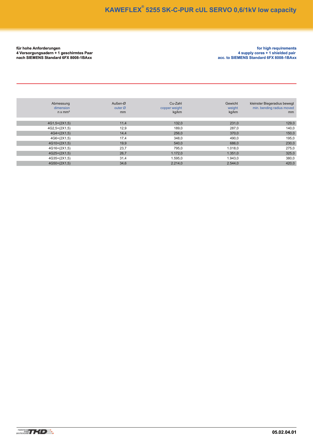**für hohe Anforderungen 4 Versorgungsadern + 1 geschirmtes Paar nach SIEMENS Standard 6FX 8008-1BAxx**

**for high requirements 4 supply cores + 1 shielded pair acc. to SIEMENS Standard 6FX 8008-1BAxx**

| Abmessung<br>dimension<br>$n \times mm^2$ | Außen-Ø<br>outer $\varnothing$<br>mm | Cu-Zahl<br>copper weight<br>kg/km | Gewicht<br>weight<br>kg/km | kleinster Biegeradius bewegt<br>min. bending radius moved<br>mm |
|-------------------------------------------|--------------------------------------|-----------------------------------|----------------------------|-----------------------------------------------------------------|
| $4G1,5+(2X1,5)$                           | 11,4                                 | 132,0                             | 231,0                      | 129,0                                                           |
| $4G2,5+(2X1,5)$                           | 12,9                                 | 189,0                             | 287,0                      | 140,0                                                           |
| $4G4+(2X1,5)$                             | 14,4                                 | 256,0                             | 370,0                      | 150,0                                                           |
| $4G6+(2X1,5)$                             | 17,4                                 | 348,0                             | 490,0                      | 195,0                                                           |
| $4G10+(2X1,5)$                            | 19,9                                 | 540,0                             | 686,0                      | 230,0                                                           |
| 4G16+(2X1,5)                              | 23,7                                 | 795,0                             | 1.018,0                    | 275,0                                                           |
| $4G25+(2X1,5)$                            | 26,7                                 | 1.172,0                           | 1.351,0                    | 325,0                                                           |
| $4G35+(2X1,5)$                            | 31,4                                 | 1.595,0                           | 1.943,0                    | 380,0                                                           |
| $4G50+(2X1,5)$                            | 34,6                                 | 2.214,0                           | 2.544,0                    | 420,0                                                           |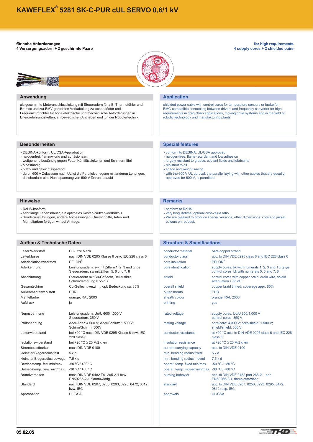## <span id="page-20-0"></span>**KAWEFLEX® [5281 SK-C-PUR cUL SERVO 0,6/1 kV](#page-1-0)**

**für hohe Anforderungen**

**4 Versorgungsadern + 2 geschirmte Paare**

**for high requirements 4 supply cores + 2 shielded pairs**



#### **Anwendung**

als geschirmte Motoranschlussleitung mit Steueradern für z.B. Thermofühler und Bremse und zur EMV-gerechten Verkabelung zwischen Motor und Frequenzumrichter für hohe elektrische und mechanische Anforderungen in Energieführungsketten, an beweglichen Antrieben und iun der Robotertechnik.

#### **Besonderheiten**

- DESINA-konform, UL/CSA-Approbation
- halogenfrei, flammwidrig und adhäsionsarm
- weitgehend beständig gegen Fette, Kühlflüssigkeiten und Schmiermittel
- ölbeständig
- platz- und gewichtssparend
- durch 600 V Zulassung nach UL ist die Parallelverlegung mit anderen Leitungen, die ebenfalls eine Nennspannung von 600 V führen, erlaubt

#### **Hinweise**

- RoHS-konform
- sehr lange Lebensdauer, ein optimales Kosten-Nutzen-Verhältnis
- Sonderausführungen, andere Abmessungen, Querschnitte, Ader- und Mantelfarben fertigen wir auf Anfrage.

#### **Aufbau & Technische Daten**

| Leiter Werkstoff             | Cu-Litze blank                                                                               |
|------------------------------|----------------------------------------------------------------------------------------------|
| Leiterklasse                 | nach DIN VDE 0295 Klasse 6 bzw. IEC 228 class 6                                              |
| Aderisolationswerkstoff      | <b>PELON®</b>                                                                                |
| Aderkennung                  | Leistungsadern: sw mit Ziffern 1, 2, 3 und gnge<br>Steueradern: sw mit Ziffern 5, 6 und 7, 8 |
| Abschirmung                  | Steueradern mit Cu-Geflecht, Beilauflitze,<br>Schirmdämpfung ≥ 55 dB                         |
| Gesamtschirm                 | Cu-Geflecht verzinnt, opt. Bedeckung ca. 85%                                                 |
| Außenmantelwerkstoff         | <b>PUR</b>                                                                                   |
| Mantelfarhe                  | orange, RAL 2003                                                                             |
| Aufdruck                     | ja                                                                                           |
|                              |                                                                                              |
| Nennspannung                 | Leistungsadern: Uo/U 600/1.000 V<br>Steueradern: 350 V                                       |
| Prüfspannung                 | Ader/Ader: 4.000 V; Ader/Schirm: 1.500 V;<br>Schirm/Schirm: 500V                             |
| Leiterwiderstand             | bei +20 °C nach DIN VDE 0295 Klasse 6 bzw. IEC<br>$228$ class $6$                            |
| Isolationswiderstand         | bei +20 °C > 20 M $\Omega$ x km                                                              |
| Strombelastbarkeit           | nach DIN VDE 0100                                                                            |
| kleinster Biegeradius fest   | $5 \times d$                                                                                 |
| kleinster Biegeradius bewegt | $7.5 \times d$                                                                               |
| Betriebstemp. fest min/max   | $-50 °C / +80 °C$                                                                            |
| Betriebstemp. bew. min/max   | $-30 °C / +80 °C$                                                                            |
| <b>Brandverhalten</b>        | nach DIN VDE 0482 Teil 265-2-1 bzw.<br>EN50265-2-1, flammwidrig                              |
| Standard                     | nach DIN VDE 0207, 0250, 0293, 0295, 0472, 0812<br>hzw IFC                                   |
| Approbation                  | UL/CSA                                                                                       |

#### **Application**

shielded power cable with control cores for temperature sensors or brake for EMC-compatible connecting between drivers and frequency converter for high requirements in drag chain applications, moving drive systems and in the field of robotic technology and manufacturing plants

#### **Special features**

- conform to DESINA, UL/CSA approved
- halogen-free, flame-retardant and low adhesion
- largely resistant to grease, coolant fluids and lubricants
- resistant to oil
- space and weight saving
- with the 600 V UL pproval, the parallel laying with other cables that are equally approved for 600 V, is permitted

#### **Remarks**

- conform to RoHS
- very long lifetime, optimal cost-value ratio
- We are pleased to produce special versions, other dimensions, core and jacket colours on request.

| conductor material                          | bare copper strand                                                                                   |
|---------------------------------------------|------------------------------------------------------------------------------------------------------|
| conductor class                             | acc. to DIN VDE 0295 class 6 and IEC 228 class 6                                                     |
| core insulation                             | PFI ON®                                                                                              |
| core identification                         | supply cores: bk with numerals 1, 2, 3 and 1 x gnye<br>control cores: bk with numerals 5, 6 and 7, 8 |
| shield                                      | control cores with copper braid, drain wire, shield<br>attenuation $> 55$ dB                         |
| overall shield                              | copper braid tinned, coverage appr. 85%                                                              |
| outer sheath                                | <b>PUR</b>                                                                                           |
| sheath colour                               | orange, RAL 2003                                                                                     |
| printing                                    | <b>ves</b>                                                                                           |
| rated voltage                               | supply cores: Uo/U 600/1.000 V<br>control cores: 350 V                                               |
| testing voltage                             | core/core: 4.000 V; core/shield: 1.500 V;<br>shield/shield: 500 V                                    |
| conductor resistance                        | at $+20$ °C acc. to DIN VDE 0295 class 6 and IEC 228<br>class 6                                      |
| insulation resistance                       | at +20 $°C$ > 20 M $\Omega$ x km                                                                     |
| current carrying capacity                   | acc. to DIN VDE 0100                                                                                 |
| min. bending radius fixed                   | $5 \times d$                                                                                         |
| min. bending radius moved                   | $7.5 \times d$                                                                                       |
| operat. temp. fixed min/max                 | $-50 °C / +80 °C$                                                                                    |
| operat. temp. moved min/max -30 °C / +80 °C |                                                                                                      |
| burning behavior                            | acc. to DIN VDE 0482 part 265-2-1 and<br>EN50265-2-1, flame-retardant                                |
| standard                                    | acc. to DIN VDE 0207, 0250, 0293, 0295, 0472,<br>0812 resp. IEC                                      |
| approvals                                   | <b>UL/CSA</b>                                                                                        |
|                                             |                                                                                                      |
|                                             |                                                                                                      |

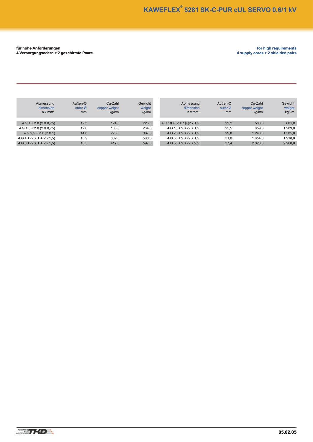**for high requirements 4 supply cores + 2 shielded pairs**

**für hohe Anforderungen 4 Versorgungsadern + 2 geschirmte Paare**

| 223,0<br>$4 G 10 + (2 X 1)+(2 X 1,5)$<br>$4 G 1 + 2 X (2 X 0,75)$<br>12.3<br>22.2<br>881,0<br>124.0<br>586.0<br>12.6<br>234.0<br>$4 G 16 + 2 X (2 X 1.5)$<br>25.5<br>$4 G 1.5 + 2 X (2 X 0.75)$<br>160.0<br>859.0<br>1.209.0<br>367,0<br>$4 G 25 + 2 X (2 X 1, 5)$<br>29,8<br>225,0<br>$4 G 2.5 + 2 X (2 X 1)$<br>14,8<br>1.585,0<br>1.240.0<br>$4 G 35 + 2 X (2 X 1,5)$<br>16,9<br>302,0<br>500,0<br>31,0<br>1.654.0<br>1.918,0 | Abmessung<br>dimension<br>$n \times mm^2$ | Außen-Ø<br>outer $\varnothing$<br>mm | Cu-Zahl<br>copper weight<br>kg/km | Gewicht<br>weight<br>kg/km | Abmessung<br>dimension<br>$n \times mm^2$ | Außen-Ø<br>outer $\varnothing$<br>mm | Cu-Zahl<br>copper weight<br>kg/km | Gewicht<br>weight<br>kg/km |
|----------------------------------------------------------------------------------------------------------------------------------------------------------------------------------------------------------------------------------------------------------------------------------------------------------------------------------------------------------------------------------------------------------------------------------|-------------------------------------------|--------------------------------------|-----------------------------------|----------------------------|-------------------------------------------|--------------------------------------|-----------------------------------|----------------------------|
|                                                                                                                                                                                                                                                                                                                                                                                                                                  |                                           |                                      |                                   |                            |                                           |                                      |                                   |                            |
|                                                                                                                                                                                                                                                                                                                                                                                                                                  |                                           |                                      |                                   |                            |                                           |                                      |                                   |                            |
|                                                                                                                                                                                                                                                                                                                                                                                                                                  |                                           |                                      |                                   |                            |                                           |                                      |                                   |                            |
|                                                                                                                                                                                                                                                                                                                                                                                                                                  | $4 G 4 + (2 X 1)+(2 X 1,5)$               |                                      |                                   |                            |                                           |                                      |                                   |                            |
| 597,0<br>$4 G 50 + 2 X (2 X 2,5)$<br>$4 G 6 + (2 X 1)+(2 X 1,5)$<br>18,5<br>37,4<br>2.320,0<br>417.0<br>2.960,0                                                                                                                                                                                                                                                                                                                  |                                           |                                      |                                   |                            |                                           |                                      |                                   |                            |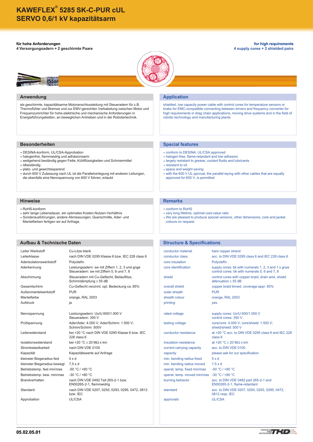### <span id="page-22-0"></span>**KAWEFLEX® 5285 SK-C-PUR cUL [SERVO 0,6/1 kV kapazitätsarm](#page-1-0)**

**für hohe Anforderungen**

**4 Versorgungsadern + 2 geschirmte Paare**

**for high requirements 4 supply cores + 2 shielded pairs**





#### **Anwendung**

als geschirmte, kapazitätsarme Motoranschlussleitung mit Steueradern für z.B. Thermofühler und Bremse und zur EMV-gerechten Verkabelung zwischen Motor und Frequenzumrichter für hohe elektrische und mechanische Anforderungen in Energieführungsketten, an beweglichen Antrieben und in der Robotertechnik.

#### **Besonderheiten**

- DESINA-konform, UL/CSA-Approbation
- halogenfrei, flammwidrig und adhäsionsarm
- weitgehend beständig gegen Fette, Kühlflüssigkeiten und Schmiermittel
- ölbeständig
- platz- und gewichtssparend
- durch 600 V Zulassung nach UL ist die Parallelverlegung mit anderen Leitungen, die ebenfalls eine Nennspannung von 600 V führen, erlaubt

#### **Hinweise**

- RoHS-konform
- sehr lange Lebensdauer, ein optimales Kosten-Nutzen-Verhältnis
- Sonderausführungen, andere Abmessungen, Querschnitte, Ader- und Mantelfarben fertigen wir auf Anfrage.

#### **Aufbau & Technische Daten**

| Leiter Werkstoff             | Cu-Litze blank                                                                               |
|------------------------------|----------------------------------------------------------------------------------------------|
| Leiterklasse                 | nach DIN VDE 0295 Klasse 6 bzw. IEC 228 class 6                                              |
| Aderisolationswerkstoff      | Polyolefin                                                                                   |
| Aderkennung                  | Leistungsadern: sw mit Ziffern 1, 2, 3 und gnge<br>Steueradern: sw mit Ziffern 5, 6 und 7, 8 |
| Abschirmung                  | Steueradern mit Cu-Geflecht, Beilauflitze.<br>Schirmdämpfung ≥ 55 dB                         |
| Gesamtschirm                 | Cu-Geflecht verzinnt, opt. Bedeckung ca. 85%                                                 |
| Außenmantelwerkstoff         | <b>PUR</b>                                                                                   |
| Mantelfarbe                  | orange, RAL 2003                                                                             |
| Aufdruck                     | ja                                                                                           |
| Nennspannung                 | Leistungsadern: Uo/U 600/1.000 V<br>Steueradern: 350 V                                       |
| Prüfspannung                 | Ader/Ader: 4.000 V; Ader/Schirm: 1.500 V;<br>Schirm/Schirm: 500V                             |
| Leiterwiderstand             | bei +20 °C nach DIN VDE 0295 Klasse 6 bzw. IEC<br>$228$ class $6$                            |
| Isolationswiderstand         | bei +20 °C > 20 M $\Omega$ x km                                                              |
| Strombelastbarkeit           | nach DIN VDE 0100                                                                            |
| Kapazität                    | Kapazitätswerte auf Anfrage                                                                  |
| kleinster Biegeradius fest   | $5 \times d$                                                                                 |
| kleinster Biegeradius bewegt | $7.5 \times d$                                                                               |
| Betriebstemp. fest min/max   | $-50 °C / +80 °C$                                                                            |
| Betriebstemp. bew. min/max   | $-30 °C / +80 °C$                                                                            |
| <b>Brandverhalten</b>        | nach DIN VDE 0482 Teil 265-2-1 bzw.<br>EN50265-2-1, flammwidrig                              |
| Standard                     | nach DIN VDE 0207, 0250, 0293, 0295, 0472, 0812<br>hzw IFC                                   |
| Approbation                  | UL/CSA                                                                                       |

#### **Application**

shielded, low capacity power cable with control cores for temperature sensors or brake for EMC-compatible connecting between drivers and frequency converter for high requirements in drag chain applications, moving drive systems and in the field of robotic technology and manufacturing plants

#### **Special features**

- conform to DESINA, UL/CSA approved
- halogen-free, flame-retardant and low adhesion
- largely resistant to grease, coolant fluids and lubricants
- resistant to oil
- space and weight saving
- with the 600 V UL pproval, the parallel laying with other cables that are equally approved for 600 V, is permitted

#### **Remarks**

- conform to RoHS
- very long lifetime, optimal cost-value ratio
- We are pleased to produce special versions, other dimensions, core and jacket colours on request.

|     | conductor material                          | bare copper strand                                                                                   |
|-----|---------------------------------------------|------------------------------------------------------------------------------------------------------|
| s 6 | conductor class                             | acc. to DIN VDE 0295 class 6 and IEC 228 class 6                                                     |
|     | core insulation                             | Polvolefin                                                                                           |
|     | core identification                         | supply cores: bk with numerals 1, 2, 3 and 1 x gnye<br>control cores: bk with numerals 5, 6 and 7, 8 |
|     | shield                                      | control cores with copper braid, drain wire, shield<br>attenuation $> 55$ dB                         |
|     | overall shield                              | copper braid tinned, coverage appr. 85%                                                              |
|     | outer sheath                                | <b>PUR</b>                                                                                           |
|     | sheath colour                               | orange, RAL 2003                                                                                     |
|     | printing                                    | <b>ves</b>                                                                                           |
|     | rated voltage                               | supply cores: Uo/U 600/1.000 V<br>control cores: 350 V                                               |
|     | testing voltage                             | core/core: 4.000 V; core/shield: 1.500 V;<br>shield/shield: 500 V                                    |
| C.  | conductor resistance                        | at +20 °C acc. to DIN VDE 0295 class 6 and IEC 228<br>class 6                                        |
|     | insulation resistance                       | at +20 $°C$ > 20 M $\Omega$ x km                                                                     |
|     | current carrying capacity                   | acc. to DIN VDE 0100                                                                                 |
|     | capacity                                    | please ask for our specification                                                                     |
|     | min. bending radius fixed                   | $5 \times d$                                                                                         |
|     | min. bending radius moved                   | $7.5 \times d$                                                                                       |
|     | operat. temp. fixed min/max                 | $-50 °C / +80 °C$                                                                                    |
|     | operat. temp. moved min/max -30 °C / +80 °C |                                                                                                      |
|     | burning behavior                            | acc. to DIN VDE 0482 part 265-2-1 and<br>EN50265-2-1, flame-retardant                                |
| 312 | standard                                    | acc. to DIN VDE 0207, 0250, 0293, 0295, 0472,<br>0812 resp. IEC                                      |
|     | approvals                                   | <b>UL/CSA</b>                                                                                        |
|     |                                             |                                                                                                      |

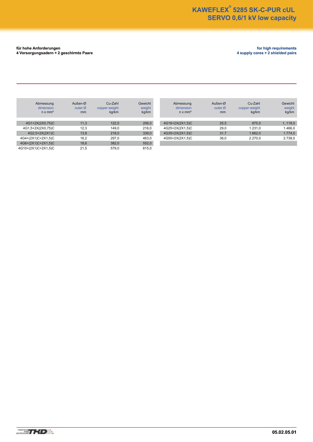#### **für hohe Anforderungen 4 Versorgungsadern + 2 geschirmte Paare**

**for high requirements 4 supply cores + 2 shielded pairs**

| Abmessung<br>dimension<br>$n \times mm^2$ | Außen- $Ø$<br>outer $Ø$<br>mm | Cu-Zahl<br>copper weight<br>kg/km | Gewicht<br>weight<br>kg/km |
|-------------------------------------------|-------------------------------|-----------------------------------|----------------------------|
| 4G16+2X(2X1,5)C                           | 25,5                          | 875.0                             | 1, 118, 0                  |
| 4G25+2X(2X1,5)C                           | 29.0                          | 1.231.0                           | 1.466,0                    |
| 4G35+2X(2X1,5)C                           | 31,7                          | 1.662.0                           | 1.774,0                    |
| 4G50+2X(2X1,5)C                           | 36.0                          | 2.270.0                           | 2.738,0                    |
|                                           |                               |                                   |                            |

| Abmessung<br>dimension<br>$n \times mm^2$ | Außen-Ø<br>outer $\varnothing$<br>mm | Cu-Zahl<br>copper weight<br>kg/km | Gewicht<br>weight<br>kg/km |
|-------------------------------------------|--------------------------------------|-----------------------------------|----------------------------|
| 4G1+2X(2X0,75)C                           | 11,3                                 | 122,5                             | 206,0                      |
| 4G1,5+2X(2X0,75)C                         | 12,3                                 | 149.0                             | 216,0                      |
| 4G2,5+2X(2X1)C                            | 13,8                                 | 218,0                             | 339,0                      |
| 4G4+(2X1)C+2X1,5)C                        | 16,2                                 | 297,0                             | 463,0                      |
| 4G6+(2X1)C+2X1,5)C                        | 18,6                                 | 382,0                             | 552,0                      |
| 4G10+(2X1)C+2X1,5)C                       | 21,5                                 | 579.0                             | 815,0                      |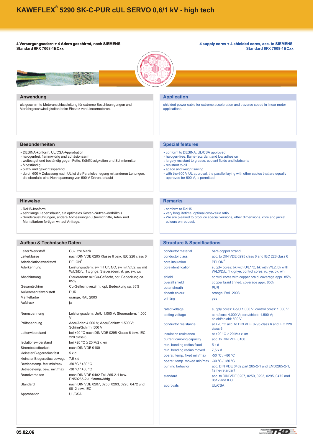### <span id="page-24-0"></span>**4 Versorgungsadern + 4 Adern geschirmt, nach SIEMENS**

**Standard 6FX 7008-1BCxx**



#### **Anwendung**

als geschirmte Motoranschlussleitung für extreme Beschleunigungen und Verfahrgeschwindigkeiten beim Einsatz von Linearmotoren.

#### **4 supply cores + 4 shielded cores, acc. to SIEMENS Standard 6FX 7008-1BCxx**

#### **Application**

shielded power cable for extreme acceleration and traverse speed in linear motor applications.

#### **Besonderheiten**

- DESINA-konform, UL/CSA-Approbation
- halogenfrei, flammwidrig und adhäsionsarm
- weitestgehend beständig gegen Fette, Kühlflüssigkeiten und Schmiermittel ölbeständig
- platz- und gewichtssparend
- durch 600 V Zulassung nach UL ist die Parallelverlegung mit anderen Leitungen, die ebenfalls eine Nennspannung von 600 V führen, erlaubt

#### **Hinweise**

- RoHS-konform
- sehr lange Lebensdauer, ein optimales Kosten-Nutzen-Verhältnis
- Sonderausführungen, andere Abmessungen, Querschnitte, Ader- und Mantelfarben fertigen wir auf Anfrage.

#### **Aufbau & Technische Daten**

| Leiter Werkstoff             | Cu-Litze blank                                                                                        |
|------------------------------|-------------------------------------------------------------------------------------------------------|
| Leiterklasse                 | nach DIN VDE 0295 Klasse 6 bzw. IEC 228 class 6                                                       |
| Aderisolationswerkstoff      | <b>PELON</b> ®                                                                                        |
| Aderkennung                  | Leistungsadern: sw mit U/L1/C, sw mit V/L2, sw mit<br>W/L3/D/L, 1 x gnge, Steueradern: rt, ge, sw, ws |
| Abschirmung                  | Steueradern mit Cu-Geflecht, opt. Bedeckung ca.<br>85%                                                |
| Gesamtschirm                 | Cu-Geflecht verzinnt, opt. Bedeckung ca. 85%                                                          |
| Außenmantelwerkstoff         | <b>PUR</b>                                                                                            |
| Mantelfarbe                  | orange, RAL 2003                                                                                      |
| Aufdruck                     | ja                                                                                                    |
|                              |                                                                                                       |
| Nennspannung                 | Leistungsadern: Uo/U 1.000 V; Steueradern: 1.000<br>$\vee$                                            |
| Prüfspannung                 | Ader/Ader: 4.000 V; Ader/Schirm: 1.500 V;<br>Schirm/Schirm: 500 V                                     |
| Leiterwiderstand             | bei +20 °C nach DIN VDE 0295 Klasse 6 bzw. IEC<br>$228$ class $6$                                     |
| Isolationswiderstand         | bei +20 °C > 20 M $\Omega$ x km                                                                       |
| Strombelastbarkeit           | nach DIN VDE 0100                                                                                     |
| kleinster Biegeradius fest   | $5 \times d$                                                                                          |
| kleinster Biegeradius bewegt | $7.5 \times d$                                                                                        |
| Betriebstemp. fest min/max   | $-50 °C / +80 °C$                                                                                     |
| Betriebstemp. bew. min/max   | $-30 °C / +80 °C$                                                                                     |
| <b>Brandverhalten</b>        | nach DIN VDE 0482 Teil 265-2-1 bzw.<br>EN50265-2-1, flammwidrig                                       |
| Standard                     | nach DIN VDE 0207, 0250, 0293, 0295, 0472 und<br>0812 bzw. IEC                                        |
| Approbation                  | UL/CSA                                                                                                |

#### **Special features**

- conform to DESINA, UL/CSA approved
- halogen-free, flame-retardant and low adhesion
- largely resistant to grease, coolant fluids and lubricants
- resistant to oil
- space and weight saving
- with the 600 V UL approval, the parallel laying with other cables that are equally approved for 600 V, is permitted

#### **Remarks**

- conform to RoHS
- very long lifetime, optimal cost-value ratio
- We are pleased to produce special versions, other dimensions, core and jacket colours on request.

| conductor material                          | bare copper strand                                                                                       |
|---------------------------------------------|----------------------------------------------------------------------------------------------------------|
| conductor class                             | acc. to DIN VDE 0295 class 6 and IEC 228 class 6                                                         |
| core insulation                             | PFI ON®                                                                                                  |
| core identification                         | supply cores: bk with U/L1/C, bk with V/L2, bk with<br>W/L3/D/L, 1 x gnye, control cores: rd, ye, bk, wh |
| shield                                      | control cores with copper braid, coverage appr. 85%                                                      |
| overall shield                              | copper braid tinned, coverage appr. 85%                                                                  |
| outer sheath                                | PUR                                                                                                      |
| sheath colour                               | orange, RAL 2003                                                                                         |
| printing                                    | <b>ves</b>                                                                                               |
|                                             |                                                                                                          |
| rated voltage                               | supply cores: Uo/U 1.000 V; control cores: 1.000 V                                                       |
| testing voltage                             | core/core: 4.000 V; core/shield: 1.500 V;<br>shield/shield: 500 V                                        |
| conductor resistance                        | at $+20$ °C acc. to DIN VDE 0295 class 6 and IEC 228<br>class 6                                          |
| insulation resistance                       | at +20 $°C$ > 20 M $\Omega$ x km                                                                         |
| current carrying capacity                   | acc. to DIN VDE 0100                                                                                     |
| min. bending radius fixed                   | $5 \times d$                                                                                             |
| min. bending radius moved                   | $7.5 \times d$                                                                                           |
| operat. temp. fixed min/max                 | $-50 °C / +80 °C$                                                                                        |
| operat. temp. moved min/max -30 °C / +80 °C |                                                                                                          |
| burning behavior                            | acc. DIN VDE 0482 part 265-2-1 and EN50265-2-1,<br>flame-retardant                                       |
| standard                                    | acc. to DIN VDE 0207, 0250, 0293, 0295, 0472 and<br>0812 and IEC                                         |
| approvals                                   | <b>UL/CSA</b>                                                                                            |
|                                             |                                                                                                          |
|                                             |                                                                                                          |
|                                             |                                                                                                          |

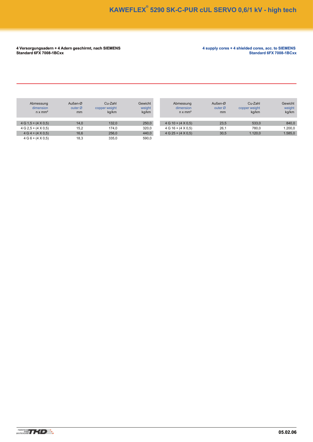Außen-Ø outer Ø  $mm$ 

 $4 G 10 + (4 X 0,5)$  23,5 533,0 840,0 4 G 16 + (4 X 0,5) 26,1 780,0 1.200,0<br>4 G 25 + (4 X 0,5) 30,5 1.120,0 1.585,0

Abmessung dimension  $n \times mm^2$ 

 $4 G 25 + (4 X 0,5)$ 

**4 Versorgungsadern + 4 Adern geschirmt, nach SIEMENS Standard 6FX 7008-1BCxx**

**4 supply cores + 4 shielded cores, acc. to SIEMENS Standard 6FX 7008-1BCxx**

> Cu-Zahl copper weight kg/km

Gewicht weight kg/km

| Abmessung<br>dimension<br>$n \times mm^2$ | Außen-Ø<br>outer $\varnothing$<br>mm | Cu-Zahl<br>copper weight<br>kg/km | Gewicht<br>weight<br>kg/km |
|-------------------------------------------|--------------------------------------|-----------------------------------|----------------------------|
| $4 G 1,5 + (4 X 0,5)$                     | 14.0                                 | 132.0                             | 250.0                      |
| $4 G 2.5 + (4 X 0.5)$                     | 15.2                                 | 174.0                             | 320,0                      |
| $4 G 4 + (4 X 0.5)$                       | 16,6                                 | 256,0                             | 440,0                      |
| $4 G6 + (4 X 0.5)$                        | 18.3                                 | 335.0                             | 590.0                      |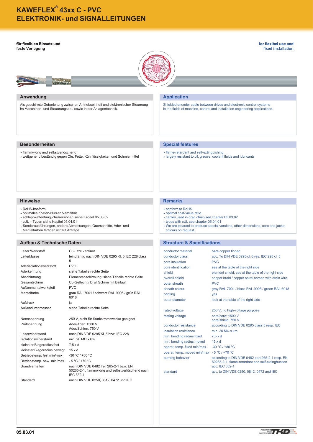### <span id="page-26-0"></span>**KAWEFLEX® 43xx C - PVC [ELEKTRONIK- und SIGNALLEITUNGEN](#page-1-0)**

#### **für flexiblen Einsatz und feste Verlegung**

**for flexibel use and fixed installation**



#### **Anwendung**

Als geschirmte Geberleitung zwischen Antriebseinheit und elektronischer Steuerung im Maschinen- und Steuerungsbau sowie in der Anlagentechnik.

#### **Application**

Shielded encoder cable between drives and electronic control systems in the fields of machine, control and installation engineering applications.

### **Besonderheiten**

- flammwidrig und selbstverlöschend
- weitgehend beständig gegen Öle, Fette, Kühlflüssigkeiten und Schmiermittel

#### **Special features**

- flame-retardant and self-extinguishing
- largely resistant to oil, grease, coolant fluids and lubricants

#### **Hinweise**

- RoHS-konform
- optimales Kosten-Nutzen Verhältnis
- schleppkettentauglicheVersionen siehe Kapitel 05.03.02
- cUL Typen siehe Kapitel 05.04.01
- Sonderausführungen, andere Abmessungen, Querschnitte, Ader- und Mantelfarben fertigen wir auf Anfrage.

#### **Aufbau & Technische Daten**

Leiter Werkstoff Cu-Litze verzinnt Leiterklasse feindrähtig nach DIN VDE 0295 Kl. 5 IEC 228 class 5 Aderisolationswerkstoff PVC Aderkennung siehe Tabelle rechte Seite Abschirmung Elementabschirmung: siehe Tabelle rechte Seite Gesamtschirm Cu-Geflecht / Drall Schirm mit Beilauf Außenmantelwerkstoff PVC Mantelfarbe grau RAL 7001 / schwarz RAL 9005 / grün RAL 6018 Aufdruck ia ia Außendurchmesser siehe Tabelle rechte Seite Nennspannung 250 V, nicht für Starkstromzwecke geeignet Prüfspannung Ader/Ader: 1500 V Ader/Schirm: 750 V Leiterwiderstand nach DIN VDE 0295 Kl. 5 bzw. IEC 228 Isolationswiderstand min. 20 MΩ x km kleinster Biegeradius fest 7,5 x d kleinster Biegeradius bewegt 15 x d Betriebstemp. fest min/max -30 °C / +80 °C Betriebstemp. bew. min/max - 5 °C / +70 °C Brandverhalten nach DIN VDE 0482 Teil 265-2-1 bzw. EN 50265-2-1, flammwidrig und selbstverlöschend nach IEC 332-1 Standard nach DIN VDE 0250, 0812, 0472 und IEC

#### **Remarks**

- conform to RoHS
- optimal cost-value ratio
- cables used in drag chain see chapter 05.03.02 types with cUL see chapter 05.04.01
- 
- We are pleased to produce special versions, other dimensions, core and jacket colours on request.

| conductor material          | bare copper tinned                                                                                   |
|-----------------------------|------------------------------------------------------------------------------------------------------|
| conductor class             | acc. To DIN VDE 0295 cl. 5 res. IEC 228 cl. 5                                                        |
| core insulation             | <b>PVC</b>                                                                                           |
| core identification         | see at the table of the right side                                                                   |
| shield                      | element shield: see at the table of the right side                                                   |
| overall shield              | copper braid / copper spiral screen with drain wire                                                  |
| outer sheath                | PVC.                                                                                                 |
| sheath colour               | grey RAL 7001 / black RAL 9005 / green RAL 6018                                                      |
| printing                    | <b>ves</b>                                                                                           |
| outer diameter              | look at the table of the right side                                                                  |
|                             |                                                                                                      |
| rated voltage               | 250 V, no high-voltage purpose                                                                       |
| testing voltage             | core/core: 1500 V                                                                                    |
|                             | core/shield: 750 V                                                                                   |
| conductor resistance        | according to DIN VDE 0295 class 5 resp. IEC                                                          |
| insulation resistance       | $min$ 20 MO $x$ km                                                                                   |
| min. bending radius fixed   | $7.5 \times d$                                                                                       |
| min. bending radius moved   | $15 \times d$                                                                                        |
| operat. temp. fixed min/max | $-30 °C / +80 °C$                                                                                    |
| operat. temp. moved min/max | $-5 °C/+70 °C$                                                                                       |
| burning behavior            | according to DIN VDE 0482 part 265-2-1 resp. EN<br>50265-2-1, flame-retardant and self-extinghustion |
|                             | acc. IEC 332-1                                                                                       |
| standard                    | acc. to DIN VDE 0250, 0812, 0472 and IEC                                                             |
|                             |                                                                                                      |
|                             |                                                                                                      |
|                             |                                                                                                      |

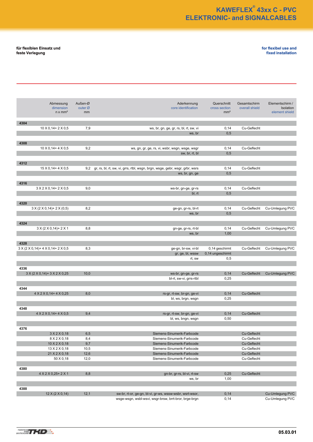**für flexiblen Einsatz und feste Verlegung**

**for flexibel use and fixed installation**

|      | Abmessung<br>dimension<br>$n \times mm2$ | Außen-Ø<br>outer Ø<br>mm | Aderkennung<br>core identification                                               | Querschnitt<br>cross section<br>mm <sup>2</sup> | Gesamtschirm<br>overall shield | Elementschirm /<br>Isolation<br>element shield |
|------|------------------------------------------|--------------------------|----------------------------------------------------------------------------------|-------------------------------------------------|--------------------------------|------------------------------------------------|
|      |                                          |                          |                                                                                  |                                                 |                                |                                                |
| 4304 |                                          |                          |                                                                                  |                                                 |                                |                                                |
|      | 10 X 0,14 + 2 X 0,5                      | 7,9                      | ws, br, gn, ge, gr, rs, bl, rt, sw, vi                                           | 0,14                                            | Cu-Geflecht                    |                                                |
|      |                                          |                          | ws, br                                                                           | 0,5                                             |                                |                                                |
|      |                                          |                          |                                                                                  |                                                 |                                |                                                |
| 4308 |                                          | 9,2                      |                                                                                  |                                                 | Cu-Geflecht                    |                                                |
|      | $10 \times 0,14 + 4 \times 0,5$          |                          | ws, gn, gr, ge, rs, vi, wsbr, wsgn, wsge, wsgr                                   | 0,14<br>0,5                                     |                                |                                                |
|      |                                          |                          | sw, br, rt, bl                                                                   |                                                 |                                |                                                |
| 4312 |                                          |                          |                                                                                  |                                                 |                                |                                                |
|      | 15 X 0,14+ 4 X 0,5                       |                          | 9,2 gr, rs, bl, rt, sw, vi, grrs, rtbl, wsgn, brgn, wsge, gebr, wsgr, grbr, wsrs | 0,14                                            | Cu-Geflecht                    |                                                |
|      |                                          |                          | ws, br, gn, ge                                                                   | 0,5                                             |                                |                                                |
|      |                                          |                          |                                                                                  |                                                 |                                |                                                |
| 4316 |                                          |                          |                                                                                  |                                                 |                                |                                                |
|      | $3 X 2 X 0,14 + 2 X 0,5$                 | 9,0                      | ws-br, gn-ge, gr-rs                                                              | 0,14                                            | Cu-Geflecht                    |                                                |
|      |                                          |                          | bl, rt                                                                           | 0,5                                             |                                |                                                |
|      |                                          |                          |                                                                                  |                                                 |                                |                                                |
| 4320 |                                          |                          |                                                                                  |                                                 |                                |                                                |
|      | $3 X (2 X 0, 14) + 2 X (0, 5)$           | 8,2                      | ge-gn, gr-rs, bl-rt                                                              | 0,14                                            | Cu-Geflecht                    | Cu-Umlegung PVC                                |
|      |                                          |                          | ws, br                                                                           | 0,5                                             |                                |                                                |
|      |                                          |                          |                                                                                  |                                                 |                                |                                                |
| 4324 |                                          |                          |                                                                                  |                                                 |                                |                                                |
|      | $3 X (2 X 0, 14) + 2 X 1$                | 8,8                      | gn-ge, gr-rs, rt-bl                                                              | 0,14                                            | Cu-Geflecht                    | Cu-Umlegung PVC                                |
|      |                                          |                          | ws, br                                                                           | 1,00                                            |                                |                                                |
|      |                                          |                          |                                                                                  |                                                 |                                |                                                |
| 4328 |                                          |                          |                                                                                  |                                                 |                                |                                                |
|      | $3 X (2 X 0, 14) + 4 X 0, 14 + 2 X 0, 5$ | 8,3                      | ge-gn, br-sw, vi-bl                                                              | 0,14 geschirmt                                  | Cu-Geflecht                    | Cu-Umlegung PVC                                |
|      |                                          |                          | gr, ge, bl, wssw                                                                 | 0,14 ungeschirmt                                |                                |                                                |
|      |                                          |                          |                                                                                  | 0,5                                             |                                |                                                |
|      |                                          |                          | rt, sw                                                                           |                                                 |                                |                                                |
|      |                                          |                          |                                                                                  |                                                 |                                |                                                |
| 4336 |                                          |                          |                                                                                  |                                                 |                                |                                                |
|      | 3 X (2 X 0, 14) + 3 X 2 X 0, 25          | 10,0                     | ws-br, gn-ge, gr-rs                                                              | 0,14                                            | Cu-Geflecht                    | Cu-Umlegung PVC                                |
|      |                                          |                          | bl-rt, sw-vi, grrs-rtbl                                                          | 0,25                                            |                                |                                                |
|      |                                          |                          |                                                                                  |                                                 |                                |                                                |
| 4344 |                                          |                          |                                                                                  |                                                 |                                |                                                |
|      | $4 X 2 X 0,14 + 4 X 0,25$                | 8,0                      | rs-gr, rt-sw, br-gn, ge-vi                                                       | 0,14                                            | Cu-Geflecht                    |                                                |
|      |                                          |                          | bl, ws, brgn, wsgn                                                               | 0,25                                            |                                |                                                |
|      |                                          |                          |                                                                                  |                                                 |                                |                                                |
| 4348 |                                          |                          |                                                                                  |                                                 |                                |                                                |
|      | $4 \times 2 \times 0,14 + 4 \times 0,5$  | 9,4                      | rs-gr, rt-sw, br-gn, ge-vi                                                       | 0,14                                            | Cu-Geflecht                    |                                                |
|      |                                          |                          | bl, ws, bngn, wsgn                                                               | 0,50                                            |                                |                                                |
|      |                                          |                          |                                                                                  |                                                 |                                |                                                |
| 4376 |                                          |                          |                                                                                  |                                                 |                                |                                                |
|      | 3 X 2 X 0,18                             | 6,5                      | Siemens-Sinumerik-Farbcode                                                       |                                                 | Cu-Geflecht                    |                                                |
|      | 8 X 2 X 0,18                             | 8,4                      | Siemens-Sinumerik-Farbcode                                                       |                                                 | Cu-Geflecht                    |                                                |
|      | 10 X 2 X 0,18                            | 9,7                      | Siemens-Sinumerik-Farbcode                                                       |                                                 | Cu-Geflecht                    |                                                |
|      | 13 X 2 X 0,18                            | 10,5                     | Siemens-Sinumerik-Farbcode                                                       |                                                 | Cu-Geflecht                    |                                                |
|      | 21 X 2 X 0,18                            | 12,6                     | Siemens-Sinumerik-Farbcode                                                       |                                                 | Cu-Geflecht                    |                                                |
|      | 50 X 0,18                                | 12,0                     | Siemens-Sinumerik-Farbcode                                                       |                                                 | Cu-Geflecht                    |                                                |
|      |                                          |                          |                                                                                  |                                                 |                                |                                                |
| 4380 | 4 X 2 X 0, 25 + 2 X 1                    | 8,8                      |                                                                                  | 0,25                                            | Cu-Geflecht                    |                                                |
|      |                                          |                          | gn-br, gr-rs, bl-vi, rt-sw<br>ws, br                                             | 1,00                                            |                                |                                                |
|      |                                          |                          |                                                                                  |                                                 |                                |                                                |
| 4388 |                                          |                          |                                                                                  |                                                 |                                |                                                |
|      | $12 \times (2 \times 0, 14)$             | 12,1                     | sw-br, rt-or, ge-gn, bl-vi, gr-ws, wssw-wsbr, wsrt-wsor,                         | 0,14                                            |                                | Cu-Umlegung PVC                                |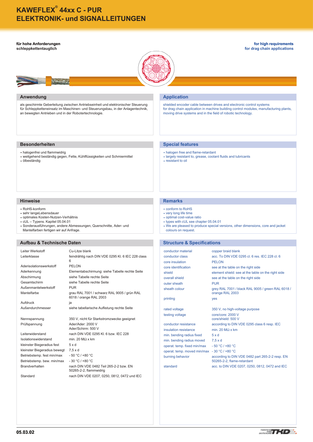### <span id="page-28-0"></span>**KAWEFLEX® 44xx C - PUR [ELEKTRONIK- und SIGNALLEITUNGEN](#page-1-0)**

#### **für hohe Anforderungen schleppkettentauglich**

Port 22

#### **for high requirements for drag chain applications**



#### **Anwendung**

als geschirmte Geberleitung zwischen Antriebseinheit und elektronischer Steuerung für Schleppketteneinsatz im Maschinen- und Steuerungsbau, in der Anlagentechnik, an bewegten Antrieben und in der Robotertechnologie.

#### **Application**

**Special features**

halogen free and flame-retardant

largely resistant to, grease, coolant fluids and lubricants

shielded encoder cable between drives and electronic control systems for drag chain application in machine building control modules, manufacturing plants, moving drive systems and in the field of robotic technology.

#### **Besonderheiten**

- halogenfrei und flammwidrig
- weitgehend beständig gegen, Fette, Kühlflüssigkeiten und Schmiermittel
- ölbeständig

#### **Hinweise**

- RoHS-konform
- sehr langeLebensdauer
- optimales Kosten-Nutzen-Verhältnis cUL – Typens. Kapitel 05.04.01
- Sonderausführungen, andere Abmessungen, Querschnitte, Ader- und
- Mantelfarben fertigen wir auf Anfrage.

#### **Aufbau & Technische Daten**

| Leiter Werkstoff             | Cu-Litze blank                                                        |
|------------------------------|-----------------------------------------------------------------------|
| Leiterklasse                 | feindrähtig nach DIN VDE 0295 KI. 6 IEC 228 class<br>6                |
| Aderisolationswerkstoff      | <b>PELON</b>                                                          |
| Aderkennung                  | Elementabschirmung: siehe Tabelle rechte Seite                        |
| Abschirmung                  | siehe Tabelle rechte Seite                                            |
| Gesamtschirm                 | siehe Tabelle rechte Seite                                            |
| Außenmantelwerkstoff         | <b>PUR</b>                                                            |
| Mantelfarbe                  | grau RAL 7001 / schwarz RAL 9005 / grün RAL<br>6018 / orange RAL 2003 |
| Aufdruck                     | ia                                                                    |
| Außendurchmesser             | siehe tabellarische Auflistung rechte Seite                           |
| Nennspannung                 | 350 V, nicht für Starkstromzwecke geeignet                            |
| Prüfspannung                 | Ader/Ader: 2000 V<br>Ader/Schirm: 500 V                               |
| Leiterwiderstand             | nach DIN VDE 0295 KI, 6 bzw. IEC 228                                  |
| Isolationswiderstand         | min. 20 M $\Omega$ x km                                               |
| kleinster Biegeradius fest   | $5 \times d$                                                          |
| kleinster Biegeradius bewegt | $7.5 \times d$                                                        |
| Betriebstemp. fest min/max   | $-50 °C/+80 °C$                                                       |
| Betriebstemp. bew. min/max   | $-30 °C / +80 °C$                                                     |
| Brandverhalten               | nach DIN VDE 0482 Teil 265-2-2 bzw. EN<br>50265-2-2, flammwidrig      |
| Standard                     | nach DIN VDE 0207, 0250, 0812, 0472 und IEC                           |

# **Remarks**

resistant to oil

- conform to RoHS
- very long life time
- optimal cost-value ratio
- types with cUL see chapter 05.04.01
- We are pleased to produce special versions, other dimensions, core and jacket colours on request.

| conductor material                           | copper braid blank                                                            |
|----------------------------------------------|-------------------------------------------------------------------------------|
| conductor class                              | acc. To DIN VDE 0295 cl. 6 res. IEC 228 cl. 6                                 |
| core insulation                              | <b>PELON</b>                                                                  |
| core identification                          | see at the table on the right side                                            |
| shield                                       | element shield: see at the table on the right side                            |
| overall shield                               | see at the table on the right side                                            |
| outer sheath                                 | <b>PUR</b>                                                                    |
| sheath colour                                | grey RAL 7001 / black RAL 9005 / green RAL 6018 /<br>orange RAL 2003          |
| printing                                     | yes                                                                           |
|                                              |                                                                               |
| rated voltage                                | 350 V, no high-voltage purpose                                                |
| testing voltage                              | core/core: 2000 V<br>core/shield: 500 V                                       |
| conductor resistance                         | according to DIN VDE 0295 class 6 resp. IEC                                   |
| insulation resistance                        | min. 20 $M\Omega$ x km                                                        |
| min. bending radius fixed                    | 5xd                                                                           |
| min. bending radius moved                    | $7.5 \times d$                                                                |
| operat. temp. fixed min/max                  | $-50 °C / +80 °C$                                                             |
| operat. temp. moved min/max - 30 °C / +80 °C |                                                                               |
| burning behavior                             | according to DIN VDE 0482 part 265-2-2 resp. EN<br>50265-2-2, flame-retardant |
| standard                                     | acc. to DIN VDE 0207, 0250, 0812, 0472 and IEC                                |
|                                              |                                                                               |
|                                              |                                                                               |
|                                              |                                                                               |
|                                              |                                                                               |

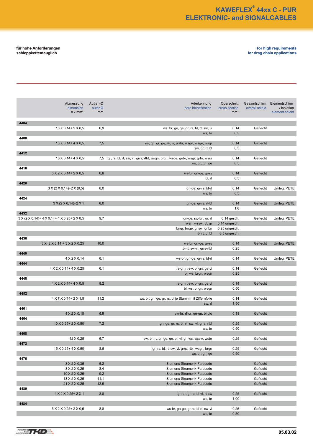**for high requirements for drag chain applications**

|      | Abmessung                                          | Außen-Ø             | Aderkennung                                                                      | Querschnitt     | Gesamtschirm         | Elementschirm  |
|------|----------------------------------------------------|---------------------|----------------------------------------------------------------------------------|-----------------|----------------------|----------------|
|      | dimension                                          | outer $\varnothing$ | core identification                                                              | cross section   | overall shield       | / Isolation    |
|      | $n \times mm2$                                     | mm                  |                                                                                  | mm <sup>2</sup> |                      | element shield |
| 4404 |                                                    |                     |                                                                                  |                 |                      |                |
|      | $10 \times 0,14 + 2 \times 0,5$                    | 6,9                 | ws, br, gn, ge, gr, rs, bl, rt, sw, vi                                           | 0,14            | Geflecht             |                |
|      |                                                    |                     | ws, br                                                                           | 0,5             |                      |                |
| 4408 |                                                    |                     |                                                                                  |                 |                      |                |
|      | $10 \times 0,14 + 4 \times 0,5$                    | 7,5                 | ws, gn, gr, ge, rs, vi, wsbr, wsgn, wsge, wsgr<br>sw, br, rt, bl                 | 0,14<br>0,5     | Geflecht             |                |
| 4412 |                                                    |                     |                                                                                  |                 |                      |                |
|      | $15 \times 0, 14 + 4 \times 0, 5$                  |                     | 7,5 gr, rs, bl, rt, sw, vi, grrs, rtbl, wsgn, brgn, wsge, gebr, wsgr, grbr, wsrs | 0,14            | Geflecht             |                |
|      |                                                    |                     | ws, br, gn, ge                                                                   | 0,5             |                      |                |
| 4416 |                                                    |                     |                                                                                  |                 |                      |                |
|      | $3 X 2 X 0,14 + 2 X 0,5$                           | 6,8                 | ws-br, gn-ge, gr-rs<br>bl, rt                                                    | 0,14<br>0,5     | Geflecht             |                |
| 4420 |                                                    |                     |                                                                                  |                 |                      |                |
|      | $3 \times (2 \times 0, 14) + 2 \times (0,5)$       | 8,0                 | gn-ge, gr-rs, bl-rt                                                              | 0,14            | Geflecht             | Umleg. PETE    |
|      |                                                    |                     | ws, br                                                                           | 0,5             |                      |                |
| 4424 | $3 X (2 X 0, 14)+2 X 1$                            | 8,0                 |                                                                                  | 0,14            | Geflecht             | Umleg. PETE    |
|      |                                                    |                     | gn-ge, gr-rs, rt-bl<br>ws, br                                                    | 1,0             |                      |                |
| 4432 |                                                    |                     |                                                                                  |                 |                      |                |
|      | 3 X (2 X 0, 14) + 4 X 0, 14 + 4 X 0, 25 + 2 X 0, 5 | 9,7                 | gn-ge, sw-bn, or, rt                                                             | $0,14$ gesch.   | Geflecht             | Umleg. PETE    |
|      |                                                    |                     | wsrt, wssw, bl, gr                                                               | 0,14 ungesch.   |                      |                |
|      |                                                    |                     | bngr, bnge, gnsw, gnbn                                                           | 0,25 ungesch.   |                      |                |
| 4436 |                                                    |                     | bnrt, bnbl                                                                       | 0,5 ungesch.    |                      |                |
|      | 3 X (2 X 0, 14) + 3 X 2 X 0, 25                    | 10,0                | ws-br, gn-ge, gr-rs                                                              | 0,14            | Geflecht             | Umleg. PETE    |
|      |                                                    |                     | bl-rt, sw-vi, grrs-rtbl                                                          | 0,25            |                      |                |
| 4440 |                                                    |                     |                                                                                  |                 |                      |                |
| 4444 | 4 X 2 X 0,14                                       | 6,1                 | ws-br, gn-ge, gr-rs, bl-rt                                                       | 0,14            | Geflecht             | Umleg. PETE    |
|      | 4 X 2 X 0, 14 + 4 X 0, 25                          | 6,1                 | rs-gr, rt-sw, br-gn, ge-vi                                                       | 0,14            | Geflecht             |                |
|      |                                                    |                     | bl, ws, brgn, wsgn                                                               | 0,25            |                      |                |
| 4448 |                                                    |                     |                                                                                  |                 |                      |                |
|      | $4 X 2 X 0, 14 + 4 X 0, 5$                         | 8,2                 | rs-gr, rt-sw, br-gn, ge-vi                                                       | 0,14            | Geflecht             |                |
| 4452 |                                                    |                     | bl, ws, bngn, wsgn                                                               | 0,50            |                      |                |
|      | 4 X 7 X 0.14 + 2 X 1.5                             | 11,2                | ws, br, gn, ge, gr, rs, bl je Stamm mit Ziffernfolie                             | 0,14            | Geflecht             |                |
|      |                                                    |                     | sw, rt                                                                           | 1,50            |                      |                |
| 4461 |                                                    |                     |                                                                                  |                 |                      |                |
| 4464 | 4 X 2 X 0.18                                       | 6,9                 | sw-br, rt-or, ge-gn, bl-vio                                                      | 0, 18           | Geflecht             |                |
|      | $10 \times 0,25 + 2 \times 0,50$                   | 7,2                 | gn, ge, gr, rs, bl, rt, sw, vi, grrs, rtbl                                       | 0,25            | Geflecht             |                |
|      |                                                    |                     | ws, br                                                                           | 0,50            |                      |                |
| 4468 |                                                    |                     |                                                                                  |                 |                      |                |
|      | 12 X 0.25                                          | 6,7                 | sw, br, rt, or, ge, gn, bl, vi, gr, ws, wssw, wsbr                               | 0,25            | Geflecht             |                |
| 4472 | 15 X 0,25+ 4 X 0,50                                | 8,6                 | gr, rs, bl, rt, sw, vi, grrs, rtbl, wsgn, brgn                                   | 0,25            | Geflecht             |                |
|      |                                                    |                     | ws, br, gn, ge                                                                   | 0,50            |                      |                |
| 4476 |                                                    |                     |                                                                                  |                 |                      |                |
|      | 3 X 2 X 0,35                                       | 6,2                 | Siemens-Sinumerik-Farbcode                                                       |                 | Geflecht             |                |
|      | 8 X 2 X 0.25                                       | 8,4                 | Siemens-Sinumerik-Farbcode                                                       |                 | Geflecht             |                |
|      | 10 X 2 X 0,25                                      | 9,2                 | Siemens-Sinumerik-Farbcode                                                       |                 | Geflecht             |                |
|      | 13 X 2 X 0,25<br>21 X 2 X 0,25                     | 11,1<br>12,5        | Siemens-Sinumerik-Farbcode<br>Siemens-Sinumerik-Farbcode                         |                 | Geflecht<br>Geflecht |                |
| 4480 |                                                    |                     |                                                                                  |                 |                      |                |
|      | $4 X 2 X 0,25 + 2 X 1$                             | 8,8                 | gn-br, gr-rs, bl-vi, rt-sw                                                       | 0,25            | Geflecht             |                |
|      |                                                    |                     | ws, br                                                                           | 1,00            |                      |                |
| 4484 |                                                    |                     |                                                                                  |                 |                      |                |
|      | $5 X 2 X 0,25 + 2 X 0,5$                           | 8,8                 | ws-br, gn-ge, gr-rs, bl-rt, sw-vi                                                | 0,25            | Geflecht             |                |
|      |                                                    |                     | ws, br                                                                           | 0,50            |                      |                |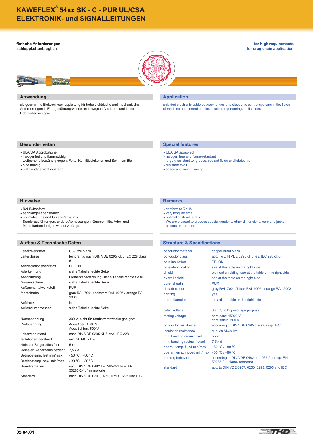### <span id="page-30-0"></span>**KAWEFLEX® 54xx SK - C - PUR UL/CSA [ELEKTRONIK- und SIGNALLEITUNGEN](#page-1-0)**

#### **für hohe Anforderungen schleppkettentauglich**

#### **for high requirements for drag chain application**



#### **Anwendung**

als geschirmte Elektronikschleppleitung für hohe elektrische und mechanische Anforderungen in Energieführungsketten an bewegten Antrieben und in der Robotertechnologie

#### **Application**

**Special features** UL/CSA approved

resistant to oil space and weight saving

halogen free and flame-retardant

largely resistant to, grease, coolant fluids and lubricants

shielded electronic cable between drives and electronic control systems in the fields of machine and control and installation engeneering applications.

#### **Besonderheiten**

- UL/CSA Approbationen
- halogenfrei und flammwidrig
- weitgehend beständig gegen, Fette, Kühlflüssigkeiten und Schmiermittel
- ölbeständig
- platz und gewichtssparend

#### **Hinweise**

- RoHS-konform
- sehr langeLebensdauer
- optimales Kosten-Nutzen-Verhältnis
- Sonderausführungen, andere Abmessungen, Querschnitte, Ader- und Mantelfarben fertigen wir auf Anfrage.

#### **Aufbau & Technische Daten**

| Leiter Werkstoff             | Cu-Litze blank                                                   |
|------------------------------|------------------------------------------------------------------|
| Leiterklasse                 | feindrähtig nach DIN VDE 0295 KI. 6 IEC 228 class<br>6           |
| Aderisolationswerkstoff      | PELON                                                            |
| Aderkennung                  | siehe Tabelle rechte Seite                                       |
| Abschirmung                  | Elementabschirmung: siehe Tabelle rechte Seite                   |
| Gesamtschirm                 | siehe Tabelle rechte Seite                                       |
| Außenmantelwerkstoff         | <b>PUR</b>                                                       |
| Mantelfarbe                  | grau RAL 7001 / schwarz RAL 9005 / orange RAL<br>2003            |
| Aufdruck                     | ja                                                               |
| Außendurchmesser             | siehe Tabelle rechte Seite                                       |
|                              |                                                                  |
| Nennspannung                 | 300 V, nicht für Starkstromzwecke geeignet                       |
| Prüfspannung                 | Ader/Ader: 1500 V<br>Ader/Schirm: 500 V                          |
| Leiterwiderstand             | nach DIN VDE 0295 KI, 6 bzw. IEC 228                             |
| Isolationswiderstand         | min. 20 M $\Omega$ x km                                          |
| kleinster Biegeradius fest   | $5 \times d$                                                     |
| kleinster Biegeradius bewegt | $7.5 \times d$                                                   |
| Betriebstemp. fest min/max   | $-50 °C / +80 °C$                                                |
| Betriebstemp. bew. min/max   | $-30 °C / +80 °C$                                                |
| Brandverhalten               | nach DIN VDE 0482 Teil 265-2-1 bzw. EN<br>50265-2-1, flammwidrig |
| Standard                     | nach DIN VDE 0207, 0250, 0293, 0295 und IEC                      |

### **Remarks**

- conform to RoHS
- very long life time
- optimal cost-value ratio
- We are pleased to produce special versions, other dimensions, core and jacket colours on request.

| conductor material                           | copper braid blank                                                            |
|----------------------------------------------|-------------------------------------------------------------------------------|
| conductor class                              | acc. To DIN VDE 0295 cl. 6 res. IEC 228 cl. 6                                 |
| core insulation                              | <b>PELON</b>                                                                  |
| core identification                          | see at the table on the right side                                            |
| shield                                       | element shielding: see at the table on the right side                         |
| overall shield                               | see at the table on the right side                                            |
| outer sheath                                 | <b>PUR</b>                                                                    |
| sheath colour                                | grey RAL 7001 / black RAL 9005 / orange RAL 2003                              |
| printing                                     | <b>ves</b>                                                                    |
| outer diameter                               | look at the table on the right side                                           |
|                                              |                                                                               |
| rated voltage                                | 300 V, no high-voltage purpose                                                |
| testing voltage                              | core/core: 15000 V<br>core/shield: 500 V                                      |
| conductor resistance                         | according to DIN VDE 0295 class 6 resp. IEC                                   |
| insulation resistance                        | $min$ 20 MO $x$ km                                                            |
| min. bending radius fixed                    | 5xd                                                                           |
| min. bending radius moved $7.5 \times d$     |                                                                               |
| operat. temp. fixed min/max                  | $-50 °C / +80 °C$                                                             |
| operat. temp. moved min/max - 30 °C / +80 °C |                                                                               |
| burning behavior                             | according to DIN VDE 0482 part 265-2-1 resp. EN<br>50265-2-1, flame-retardant |
| standard                                     | acc. to DIN VDE 0207, 0250, 0293, 0295 and IEC                                |
|                                              |                                                                               |
|                                              |                                                                               |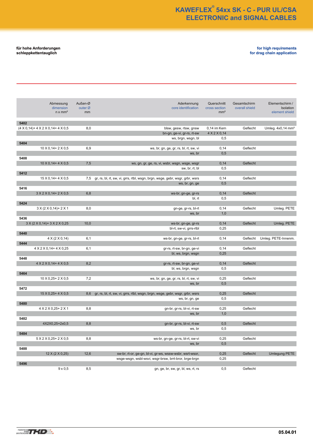**for high requirements for drag chain application**

|      | Abmessung                                                 | Außen-Ø | Aderkennung                                                                      | Querschnitt     | Gesamtschirm   | Elementschirm /                 |
|------|-----------------------------------------------------------|---------|----------------------------------------------------------------------------------|-----------------|----------------|---------------------------------|
|      | dimension                                                 | outer Ø | core identification                                                              | cross section   | overall shield | Isolation                       |
|      | $n \times mm^2$                                           | mm      |                                                                                  | mm <sup>2</sup> |                | element shield                  |
|      |                                                           |         |                                                                                  |                 |                |                                 |
| 5402 |                                                           |         |                                                                                  |                 |                |                                 |
|      | $(4 \times 0.14) + 4 \times 2 \times 0.14 + 4 \times 0.5$ | 8,0     | blsw, gesw, rtsw, gnsw                                                           | 0.14 im Kern    | Geflecht       | Umleg. $4x0,14$ mm <sup>2</sup> |
|      |                                                           |         | bn-gn, ge-vi, gr-rs, rt-sw                                                       | 4 X 2 X 0,14    |                |                                 |
|      |                                                           |         | ws, brgn, wsgn, bl                                                               | 0,5             |                |                                 |
| 5404 |                                                           |         |                                                                                  |                 |                |                                 |
|      | $10 \times 0.14 + 2 \times 0.5$                           | 6,9     | ws, br, gn, ge, gr, rs, bl, rt, sw, vi                                           | 0,14            | Geflecht       |                                 |
|      |                                                           |         | ws, br                                                                           | 0,5             |                |                                 |
| 5408 |                                                           |         |                                                                                  |                 |                |                                 |
|      | $10 \times 0,14 + 4 \times 0,5$                           | 7,5     | ws, gn, gr, ge, rs, vi, wsbr, wsgn, wsge, wsgr                                   | 0,14            | Geflecht       |                                 |
|      |                                                           |         | sw, br, rt, bl                                                                   | 0,5             |                |                                 |
| 5412 |                                                           |         |                                                                                  | 0,14            | Geflecht       |                                 |
|      | $15 \times 0, 14 + 4 \times 0, 5$                         | 7,5     | gr, rs, bl, rt, sw, vi, grrs, rtbl, wsgn, brgn, wsge, gebr, wsgr, grbr, wsrs     | 0,5             |                |                                 |
| 5416 |                                                           |         | ws, br, gn, ge                                                                   |                 |                |                                 |
|      | $3 X 2 X 0,14 + 2 X 0,5$                                  | 6,8     | ws-br, gn-ge, gr-rs                                                              | 0,14            | Geflecht       |                                 |
|      |                                                           |         | bl, rt                                                                           | 0,5             |                |                                 |
| 5424 |                                                           |         |                                                                                  |                 |                |                                 |
|      | $3 X (2 X 0, 14) + 2 X 1$                                 | 8,0     | gn-ge, gr-rs, bl-rt                                                              | 0,14            | Geflecht       | Umleg. PETE                     |
|      |                                                           |         | ws, br                                                                           | 1,0             |                |                                 |
| 5436 |                                                           |         |                                                                                  |                 |                |                                 |
|      | 3 X (2 X 0, 14) + 3 X 2 X 0, 25                           | 10,0    | ws-br, gn-ge, gr-rs                                                              | 0,14            | Geflecht       | Umleg. PETE                     |
|      |                                                           |         | bl-rt, sw-vi, grrs-rtbl                                                          | 0,25            |                |                                 |
| 5440 |                                                           |         |                                                                                  |                 |                |                                 |
|      | $4 \times (2 \times 0, 14)$                               | 6,1     | ws-br, gn-ge, gr-rs, bl-rt                                                       | 0,14            | Geflecht       | Umleg. PETE-Innenm.             |
| 5444 |                                                           |         |                                                                                  |                 |                |                                 |
|      | $4 \times 2 \times 0,14 + 4 \times 0,25$                  | 6,1     | gr-rs, rt-sw, br-gn, ge-vi                                                       | 0,14            | Geflecht       |                                 |
|      |                                                           |         | bl, ws, brgn, wsgn                                                               | 0,25            |                |                                 |
| 5448 |                                                           |         |                                                                                  |                 |                |                                 |
|      | $4 X 2 X 0,14 + 4 X 0,5$                                  | 8,2     | gr-rs, rt-sw, br-gn, ge-vi                                                       | 0,14            | Geflecht       |                                 |
|      |                                                           |         | bl, ws, brgn, wsgn                                                               | 0,5             |                |                                 |
| 5464 |                                                           |         |                                                                                  |                 |                |                                 |
|      | 10 X 0,25+ 2 X 0,5                                        | 7,2     | ws, br, gn, ge, gr, rs, bl, rt, sw, vi                                           | 0,25            | Geflecht       |                                 |
|      |                                                           |         | ws, br                                                                           | 0,5             |                |                                 |
| 5472 |                                                           |         |                                                                                  | 0,25            | Geflecht       |                                 |
|      | 15 X 0,25+ 4 X 0,5                                        |         | 8,6 gr, rs, bl, rt, sw, vi, grrs, rtbl, wsgn, brgn, wsge, gebr, wsgr, grbr, wsrs | 0,5             |                |                                 |
| 5480 |                                                           |         | ws, br, gn, ge                                                                   |                 |                |                                 |
|      | 4 X 2 X 0, 25 + 2 X 1                                     | 8,8     | gn-br, gr-rs, bl-vi, rt-sw                                                       | 0,25            | Geflecht       |                                 |
|      |                                                           |         | ws, br                                                                           | 1,0             |                |                                 |
| 5482 |                                                           |         |                                                                                  |                 |                |                                 |
|      | 4X2X0,25+2x0,5                                            | 8.8     | gn-br, gr-rs, bl-vi, rt-sw                                                       | 0,5             | Geflecht       |                                 |
|      |                                                           |         | ws, br                                                                           | 0,5             |                |                                 |
| 5484 |                                                           |         |                                                                                  |                 |                |                                 |
|      | $5 X 2 X 0,25 + 2 X 0,5$                                  | 8,8     | ws-br, gn-ge, gr-rs, bl-rt, sw-vi                                                | 0,25            | Geflecht       |                                 |
|      |                                                           |         | ws, br                                                                           | 0,5             |                |                                 |
| 5488 |                                                           |         |                                                                                  |                 |                |                                 |
|      | $12 \times (2 \times 0.25)$                               | 12,6    | sw-br, rt-or, ge-gn, bl-vi, gr-ws, wssw-wsbr, wsrt-wsor,                         | 0,25            | Geflecht       | <b>Umlegung PETE</b>            |
|      |                                                           |         | wsge-wsgn, wsbl-wsvi, wsgr-brsw, brrt-bror, brge-brgn                            | 0,25            |                |                                 |
| 5496 |                                                           |         |                                                                                  |                 |                |                                 |
|      | $9 \times 0.5$                                            | 8,5     | gn, ge, br, sw, gr, bl, ws, rt, rs                                               | 0,5             | Geflecht       |                                 |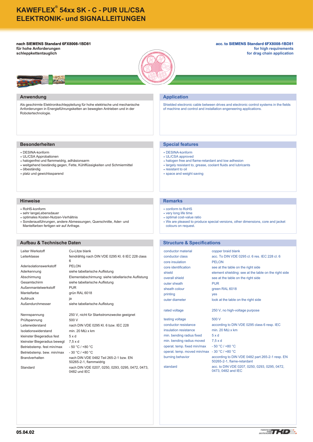### <span id="page-32-0"></span>**KAWEFLEX® 54xx SK - C - PUR UL/CSA [ELEKTRONIK- und SIGNALLEITUNGEN](#page-1-0)**

**nach SIEMENS Standard 6FX8008-1BD81 für hohe Anforderungen**

**schleppkettentauglich**



#### **Anwendung**

Als geschirmte Elektronikschleppleitung für hohe elektrische und mechanische Anforderungen in Energieführungsketten an bewegten Antrieben und in der Robotertechnologie.

#### **Application**

Shielded electronic cable between drives and electronic control systems in the fields of machine and control and installation engeneering applications.

**acc. to SIEMENS Standard 6FX8008-1BD81**

**for high requirements for drag chain application**

#### **Besonderheiten**

- DESINA-konform
- UL/CSA Approbationen
- halogenfrei und flammwidrig, adhäsionsarm
- weitgehend beständig gegen, Fette, Kühlflüssigkeiten und Schmiermittel
- ölbeständig
- platz und gewichtssparend

#### **Hinweise**

- RoHS-konform
- sehr langeLebensdauer
- optimales Kosten-Nutzen-Verhältnis
- Sonderausführungen, andere Abmessungen, Querschnitte, Ader- und Mantelfarben fertigen wir auf Anfrage.

#### **Aufbau & Technische Daten**

Leiter Werkstoff Cu-Litze blank Leiterklasse feindrähtig nach DIN VDE 0295 Kl. 6 IEC 228 class 6 Aderisolationswerkstoff PELON Aderkennung siehe tabellarische Auflistung Abschirmung Elementabschirmung: siehe tabellarische Auflistung Gesamtschirm siehe tabellarische Auflistung Außenmantelwerkstoff PUR Mantelfarbe grün RAL 6018 Aufdruck ja Außendurchmesser siehe tabellarische Auflistung Nennspannung 250 V, nicht für Starkstromzwecke geeignet Prüfspannung 500 V Leiterwiderstand nach DIN VDE 0295 Kl. 6 bzw. IEC 228 Isolationswiderstand min. 20 MΩ x km kleinster Biegeradius fest 5 x d kleinster Biegeradius bewegt 7,5 x d Betriebstemp. fest min/max - 50 °C / +80 °C Betriebstemp. bew. min/max - 30 °C / +80 °C Brandverhalten nach DIN VDE 0482 Teil 265-2-1 bzw. EN 50265-2-1, flammwidrig Standard nach DIN VDE 0207, 0250, 0293, 0295, 0472, 0473, 0482 und IEC

#### **Special features**

- DESINA-konform
- UL/CSA approved
- halogen free and flame-retardant and low adhesion
- largely resistant to, grease, coolant fluids and lubricants resistant to oil
- 
- space and weight saving

#### **Remarks**

- conform to RoHS
- very long life time optimal cost-value ratio
- 
- We are pleased to produce special versions, other dimensions, core and jacket colours on request.

| conductor material                           | copper braid blank                                                            |
|----------------------------------------------|-------------------------------------------------------------------------------|
| conductor class                              | acc. To DIN VDE 0295 cl. 6 res. IEC 228 cl. 6                                 |
| core insulation                              | <b>PELON</b>                                                                  |
| core identification                          | see at the table on the right side                                            |
| shield                                       | element shielding: see at the table on the right side                         |
| overall shield                               | see at the table on the right side                                            |
| outer sheath                                 | <b>PUR</b>                                                                    |
| sheath colour                                | green RAL 6018                                                                |
| printing                                     | <b>ves</b>                                                                    |
| outer diameter                               | look at the table on the right side                                           |
|                                              |                                                                               |
| rated voltage                                | 250 V, no high-voltage purpose                                                |
|                                              |                                                                               |
| testing voltage                              | 500 V                                                                         |
| conductor resistance                         | according to DIN VDE 0295 class 6 resp. IEC                                   |
| insulation resistance                        | min. 20 $M\Omega$ x km                                                        |
| min. bending radius fixed                    | $5 \times d$                                                                  |
| min. bending radius moved                    | $7.5 \times d$                                                                |
| operat. temp. fixed min/max                  | $-50 °C / +80 °C$                                                             |
| operat. temp. moved min/max - 30 °C / +80 °C |                                                                               |
| burning behavior                             | according to DIN VDE 0482 part 265-2-1 resp. EN<br>50265-2-1, flame-retardant |
| standard                                     | acc. to DIN VDE 0207, 0250, 0293, 0295, 0472,<br>0473, 0482 and IEC           |
|                                              |                                                                               |
|                                              |                                                                               |
|                                              |                                                                               |
|                                              |                                                                               |
|                                              |                                                                               |